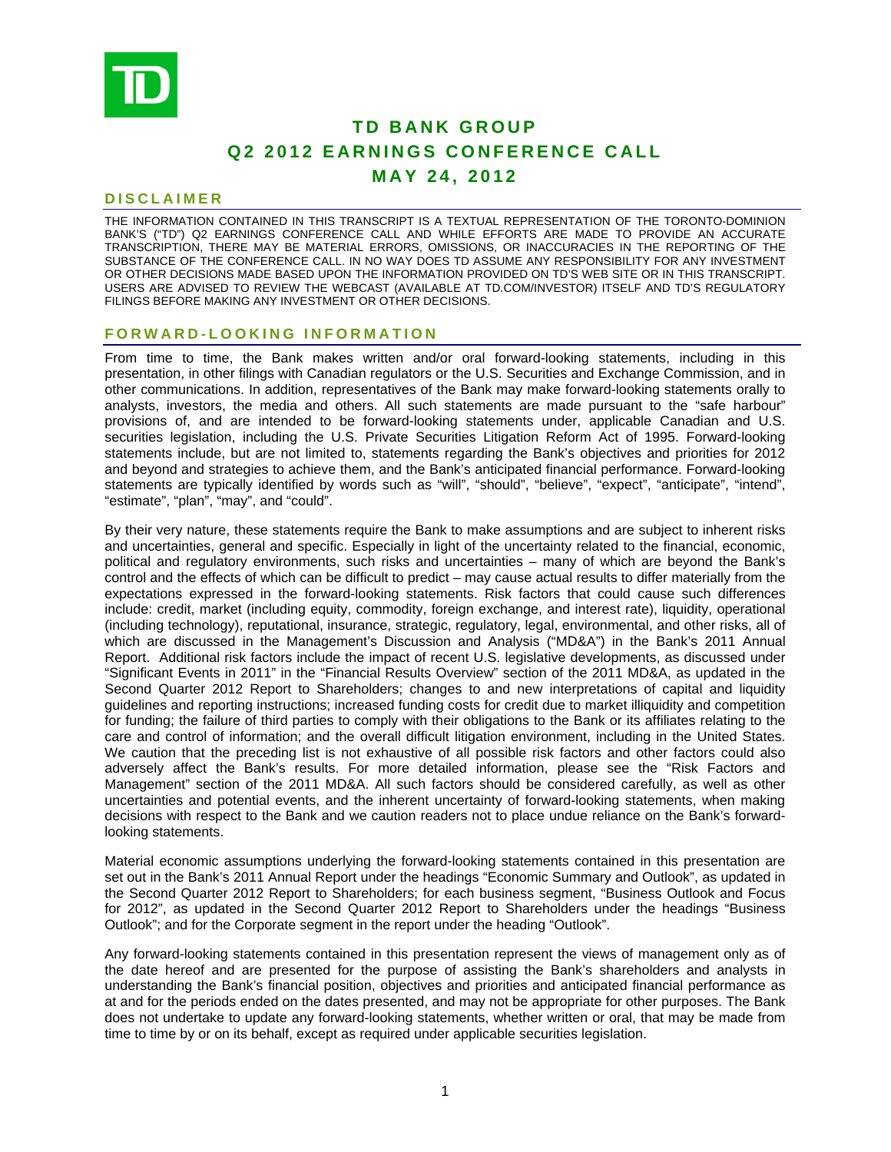

# **TD BANK GROUP Q2 2012 EARNINGS CONFERENCE CALL MAY 24, 2012**

### **DISCLAIMER**

THE INFORMATION CONTAINED IN THIS TRANSCRIPT IS A TEXTUAL REPRESENTATION OF THE TORONTO-DOMINION BANK'S ("TD") Q2 EARNINGS CONFERENCE CALL AND WHILE EFFORTS ARE MADE TO PROVIDE AN ACCURATE TRANSCRIPTION, THERE MAY BE MATERIAL ERRORS, OMISSIONS, OR INACCURACIES IN THE REPORTING OF THE SUBSTANCE OF THE CONFERENCE CALL. IN NO WAY DOES TD ASSUME ANY RESPONSIBILITY FOR ANY INVESTMENT OR OTHER DECISIONS MADE BASED UPON THE INFORMATION PROVIDED ON TD'S WEB SITE OR IN THIS TRANSCRIPT. USERS ARE ADVISED TO REVIEW THE WEBCAST (AVAILABLE AT TD.COM/INVESTOR) ITSELF AND TD'S REGULATORY FILINGS BEFORE MAKING ANY INVESTMENT OR OTHER DECISIONS.

### **FORWARD-LOOKING INFORMATION**

From time to time, the Bank makes written and/or oral forward-looking statements, including in this presentation, in other filings with Canadian regulators or the U.S. Securities and Exchange Commission, and in other communications. In addition, representatives of the Bank may make forward-looking statements orally to analysts, investors, the media and others. All such statements are made pursuant to the "safe harbour" provisions of, and are intended to be forward-looking statements under, applicable Canadian and U.S. securities legislation, including the U.S. Private Securities Litigation Reform Act of 1995. Forward-looking statements include, but are not limited to, statements regarding the Bank's objectives and priorities for 2012 and beyond and strategies to achieve them, and the Bank's anticipated financial performance. Forward-looking statements are typically identified by words such as "will", "should", "believe", "expect", "anticipate", "intend", "estimate", "plan", "may", and "could".

By their very nature, these statements require the Bank to make assumptions and are subject to inherent risks and uncertainties, general and specific. Especially in light of the uncertainty related to the financial, economic, political and regulatory environments, such risks and uncertainties – many of which are beyond the Bank's control and the effects of which can be difficult to predict – may cause actual results to differ materially from the expectations expressed in the forward-looking statements. Risk factors that could cause such differences include: credit, market (including equity, commodity, foreign exchange, and interest rate), liquidity, operational (including technology), reputational, insurance, strategic, regulatory, legal, environmental, and other risks, all of which are discussed in the Management's Discussion and Analysis ("MD&A") in the Bank's 2011 Annual Report. Additional risk factors include the impact of recent U.S. legislative developments, as discussed under "Significant Events in 2011" in the "Financial Results Overview" section of the 2011 MD&A, as updated in the Second Quarter 2012 Report to Shareholders; changes to and new interpretations of capital and liquidity guidelines and reporting instructions; increased funding costs for credit due to market illiquidity and competition for funding; the failure of third parties to comply with their obligations to the Bank or its affiliates relating to the care and control of information; and the overall difficult litigation environment, including in the United States. We caution that the preceding list is not exhaustive of all possible risk factors and other factors could also adversely affect the Bank's results. For more detailed information, please see the "Risk Factors and Management" section of the 2011 MD&A. All such factors should be considered carefully, as well as other uncertainties and potential events, and the inherent uncertainty of forward-looking statements, when making decisions with respect to the Bank and we caution readers not to place undue reliance on the Bank's forwardlooking statements.

Material economic assumptions underlying the forward-looking statements contained in this presentation are set out in the Bank's 2011 Annual Report under the headings "Economic Summary and Outlook", as updated in the Second Quarter 2012 Report to Shareholders; for each business segment, "Business Outlook and Focus for 2012", as updated in the Second Quarter 2012 Report to Shareholders under the headings "Business Outlook"; and for the Corporate segment in the report under the heading "Outlook".

Any forward-looking statements contained in this presentation represent the views of management only as of the date hereof and are presented for the purpose of assisting the Bank's shareholders and analysts in understanding the Bank's financial position, objectives and priorities and anticipated financial performance as at and for the periods ended on the dates presented, and may not be appropriate for other purposes. The Bank does not undertake to update any forward-looking statements, whether written or oral, that may be made from time to time by or on its behalf, except as required under applicable securities legislation.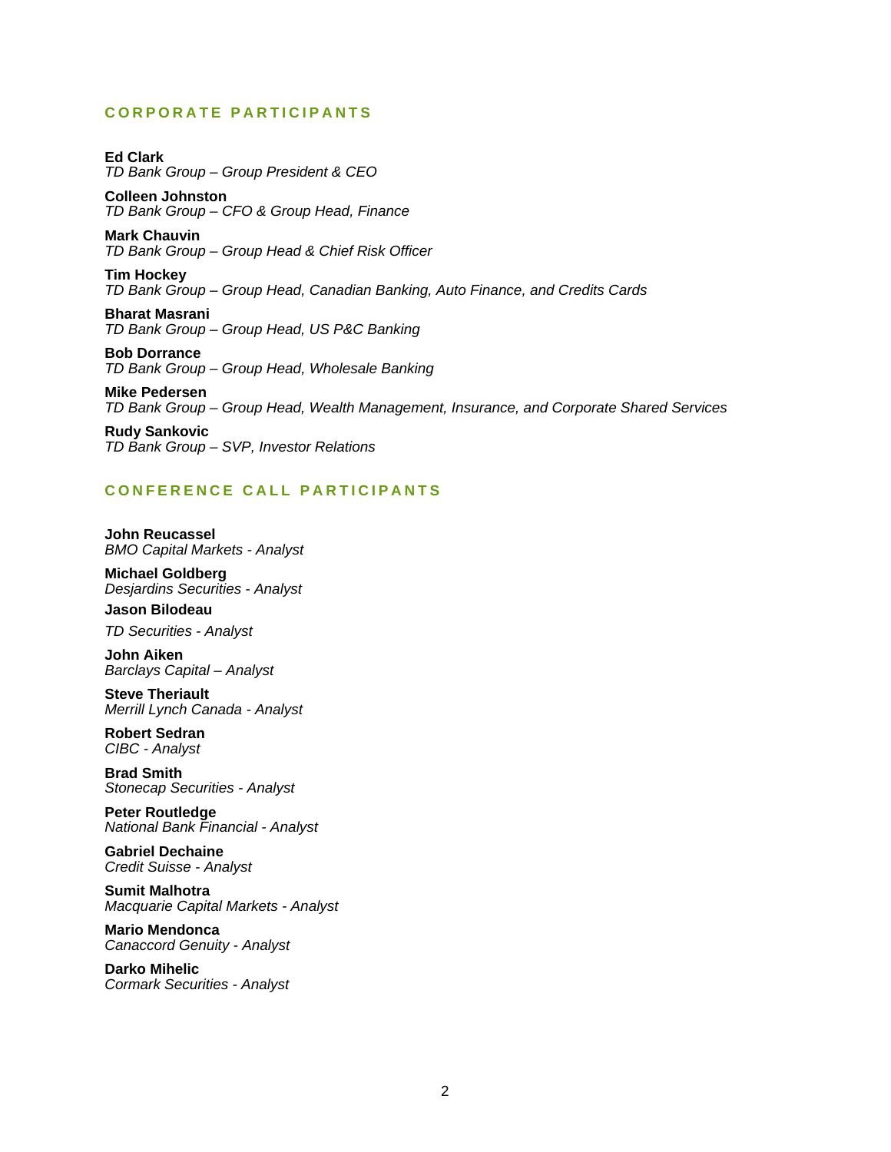# **CORPORATE PARTICIPANTS**

**Ed Clark**  *TD Bank Group – Group President & CEO* 

**Colleen Johnston**  *TD Bank Group – CFO & Group Head, Finance* 

**Mark Chauvin**  *TD Bank Group – Group Head & Chief Risk Officer* 

**Tim Hockey**  *TD Bank Group – Group Head, Canadian Banking, Auto Finance, and Credits Cards* 

**Bharat Masrani**  *TD Bank Group – Group Head, US P&C Banking* 

**Bob Dorrance**  *TD Bank Group – Group Head, Wholesale Banking* 

**Mike Pedersen**  *TD Bank Group – Group Head, Wealth Management, Insurance, and Corporate Shared Services* 

**Rudy Sankovic**  *TD Bank Group – SVP, Investor Relations* 

# **CONFERENCE CALL PARTICIPANTS**

**John Reucassel**  *BMO Capital Markets - Analyst* 

**Michael Goldberg**  *Desjardins Securities - Analyst* 

**Jason Bilodeau**  *TD Securities - Analyst* 

**John Aiken**  *Barclays Capital – Analyst* 

**Steve Theriault**  *Merrill Lynch Canada - Analyst* 

**Robert Sedran**  *CIBC - Analyst* 

**Brad Smith**  *Stonecap Securities - Analyst* 

**Peter Routledge**  *National Bank Financial - Analyst* 

**Gabriel Dechaine**  *Credit Suisse - Analyst* 

**Sumit Malhotra**  *Macquarie Capital Markets - Analyst* 

**Mario Mendonca**  *Canaccord Genuity - Analyst* 

**Darko Mihelic**  *Cormark Securities - Analyst*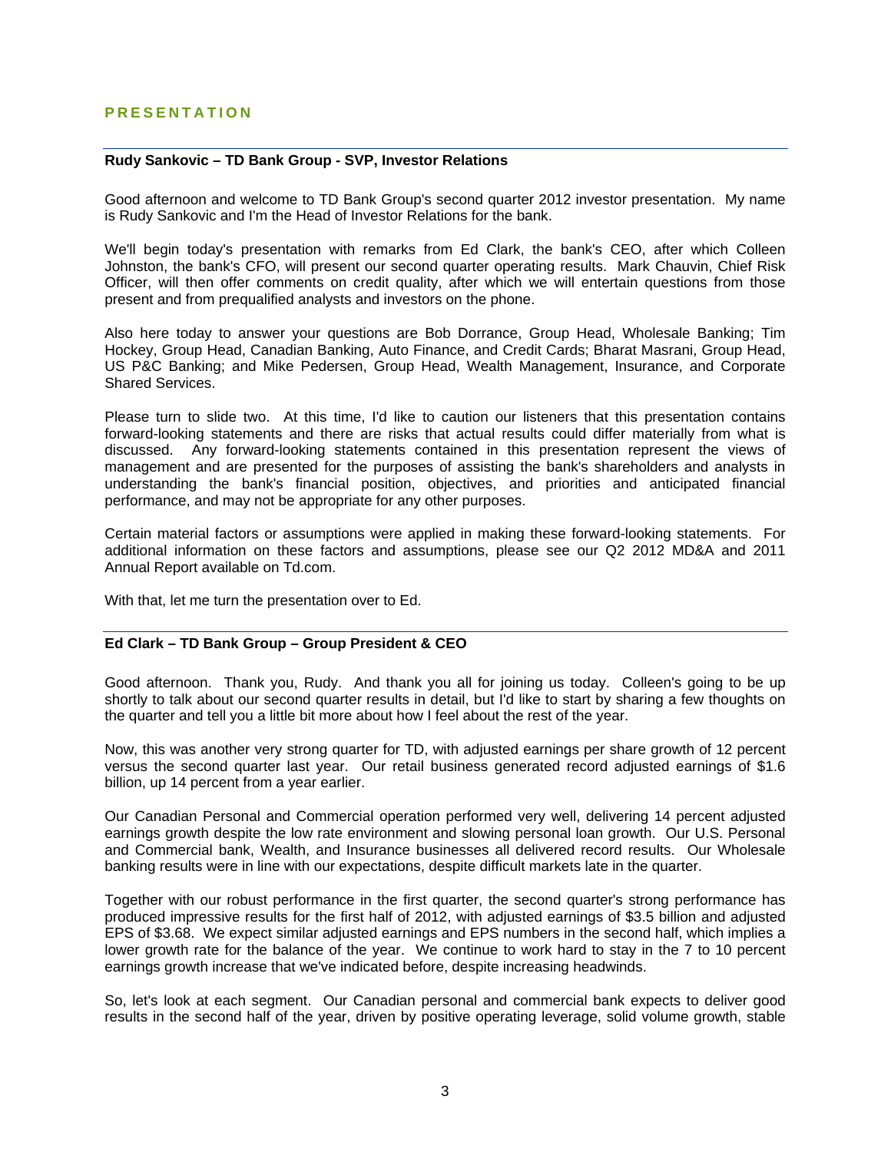# **PRESENTATION**

### **Rudy Sankovic – TD Bank Group - SVP, Investor Relations**

Good afternoon and welcome to TD Bank Group's second quarter 2012 investor presentation. My name is Rudy Sankovic and I'm the Head of Investor Relations for the bank.

We'll begin today's presentation with remarks from Ed Clark, the bank's CEO, after which Colleen Johnston, the bank's CFO, will present our second quarter operating results. Mark Chauvin, Chief Risk Officer, will then offer comments on credit quality, after which we will entertain questions from those present and from prequalified analysts and investors on the phone.

Also here today to answer your questions are Bob Dorrance, Group Head, Wholesale Banking; Tim Hockey, Group Head, Canadian Banking, Auto Finance, and Credit Cards; Bharat Masrani, Group Head, US P&C Banking; and Mike Pedersen, Group Head, Wealth Management, Insurance, and Corporate Shared Services.

Please turn to slide two. At this time, I'd like to caution our listeners that this presentation contains forward-looking statements and there are risks that actual results could differ materially from what is discussed. Any forward-looking statements contained in this presentation represent the views of management and are presented for the purposes of assisting the bank's shareholders and analysts in understanding the bank's financial position, objectives, and priorities and anticipated financial performance, and may not be appropriate for any other purposes.

Certain material factors or assumptions were applied in making these forward-looking statements. For additional information on these factors and assumptions, please see our Q2 2012 MD&A and 2011 Annual Report available on Td.com.

With that, let me turn the presentation over to Ed.

### **Ed Clark – TD Bank Group – Group President & CEO**

Good afternoon. Thank you, Rudy. And thank you all for joining us today. Colleen's going to be up shortly to talk about our second quarter results in detail, but I'd like to start by sharing a few thoughts on the quarter and tell you a little bit more about how I feel about the rest of the year.

Now, this was another very strong quarter for TD, with adjusted earnings per share growth of 12 percent versus the second quarter last year. Our retail business generated record adjusted earnings of \$1.6 billion, up 14 percent from a year earlier.

Our Canadian Personal and Commercial operation performed very well, delivering 14 percent adjusted earnings growth despite the low rate environment and slowing personal loan growth. Our U.S. Personal and Commercial bank, Wealth, and Insurance businesses all delivered record results. Our Wholesale banking results were in line with our expectations, despite difficult markets late in the quarter.

Together with our robust performance in the first quarter, the second quarter's strong performance has produced impressive results for the first half of 2012, with adjusted earnings of \$3.5 billion and adjusted EPS of \$3.68. We expect similar adjusted earnings and EPS numbers in the second half, which implies a lower growth rate for the balance of the year. We continue to work hard to stay in the 7 to 10 percent earnings growth increase that we've indicated before, despite increasing headwinds.

So, let's look at each segment. Our Canadian personal and commercial bank expects to deliver good results in the second half of the year, driven by positive operating leverage, solid volume growth, stable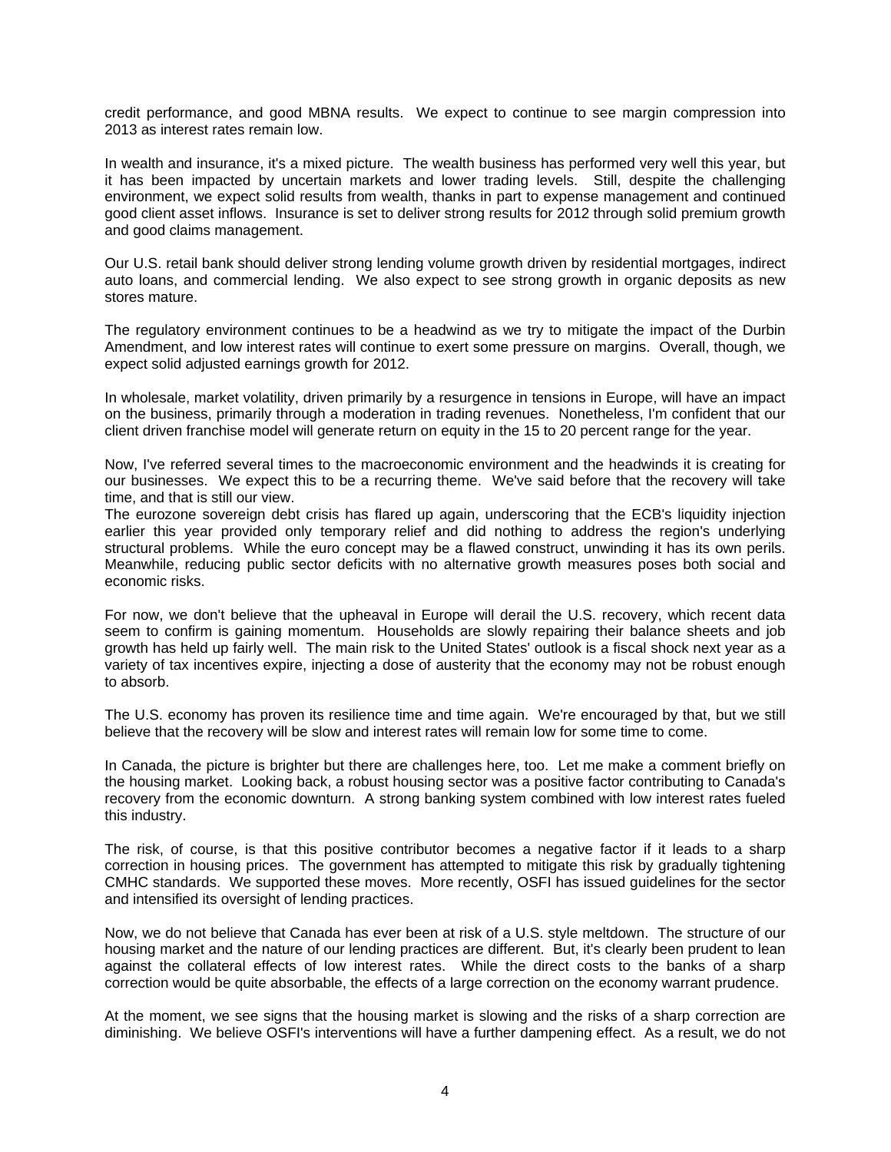credit performance, and good MBNA results. We expect to continue to see margin compression into 2013 as interest rates remain low.

In wealth and insurance, it's a mixed picture. The wealth business has performed very well this year, but it has been impacted by uncertain markets and lower trading levels. Still, despite the challenging environment, we expect solid results from wealth, thanks in part to expense management and continued good client asset inflows. Insurance is set to deliver strong results for 2012 through solid premium growth and good claims management.

Our U.S. retail bank should deliver strong lending volume growth driven by residential mortgages, indirect auto loans, and commercial lending. We also expect to see strong growth in organic deposits as new stores mature.

The regulatory environment continues to be a headwind as we try to mitigate the impact of the Durbin Amendment, and low interest rates will continue to exert some pressure on margins. Overall, though, we expect solid adjusted earnings growth for 2012.

In wholesale, market volatility, driven primarily by a resurgence in tensions in Europe, will have an impact on the business, primarily through a moderation in trading revenues. Nonetheless, I'm confident that our client driven franchise model will generate return on equity in the 15 to 20 percent range for the year.

Now, I've referred several times to the macroeconomic environment and the headwinds it is creating for our businesses. We expect this to be a recurring theme. We've said before that the recovery will take time, and that is still our view.

The eurozone sovereign debt crisis has flared up again, underscoring that the ECB's liquidity injection earlier this year provided only temporary relief and did nothing to address the region's underlying structural problems. While the euro concept may be a flawed construct, unwinding it has its own perils. Meanwhile, reducing public sector deficits with no alternative growth measures poses both social and economic risks.

For now, we don't believe that the upheaval in Europe will derail the U.S. recovery, which recent data seem to confirm is gaining momentum. Households are slowly repairing their balance sheets and job growth has held up fairly well. The main risk to the United States' outlook is a fiscal shock next year as a variety of tax incentives expire, injecting a dose of austerity that the economy may not be robust enough to absorb.

The U.S. economy has proven its resilience time and time again. We're encouraged by that, but we still believe that the recovery will be slow and interest rates will remain low for some time to come.

In Canada, the picture is brighter but there are challenges here, too. Let me make a comment briefly on the housing market. Looking back, a robust housing sector was a positive factor contributing to Canada's recovery from the economic downturn. A strong banking system combined with low interest rates fueled this industry.

The risk, of course, is that this positive contributor becomes a negative factor if it leads to a sharp correction in housing prices. The government has attempted to mitigate this risk by gradually tightening CMHC standards. We supported these moves. More recently, OSFI has issued guidelines for the sector and intensified its oversight of lending practices.

Now, we do not believe that Canada has ever been at risk of a U.S. style meltdown. The structure of our housing market and the nature of our lending practices are different. But, it's clearly been prudent to lean against the collateral effects of low interest rates. While the direct costs to the banks of a sharp correction would be quite absorbable, the effects of a large correction on the economy warrant prudence.

At the moment, we see signs that the housing market is slowing and the risks of a sharp correction are diminishing. We believe OSFI's interventions will have a further dampening effect. As a result, we do not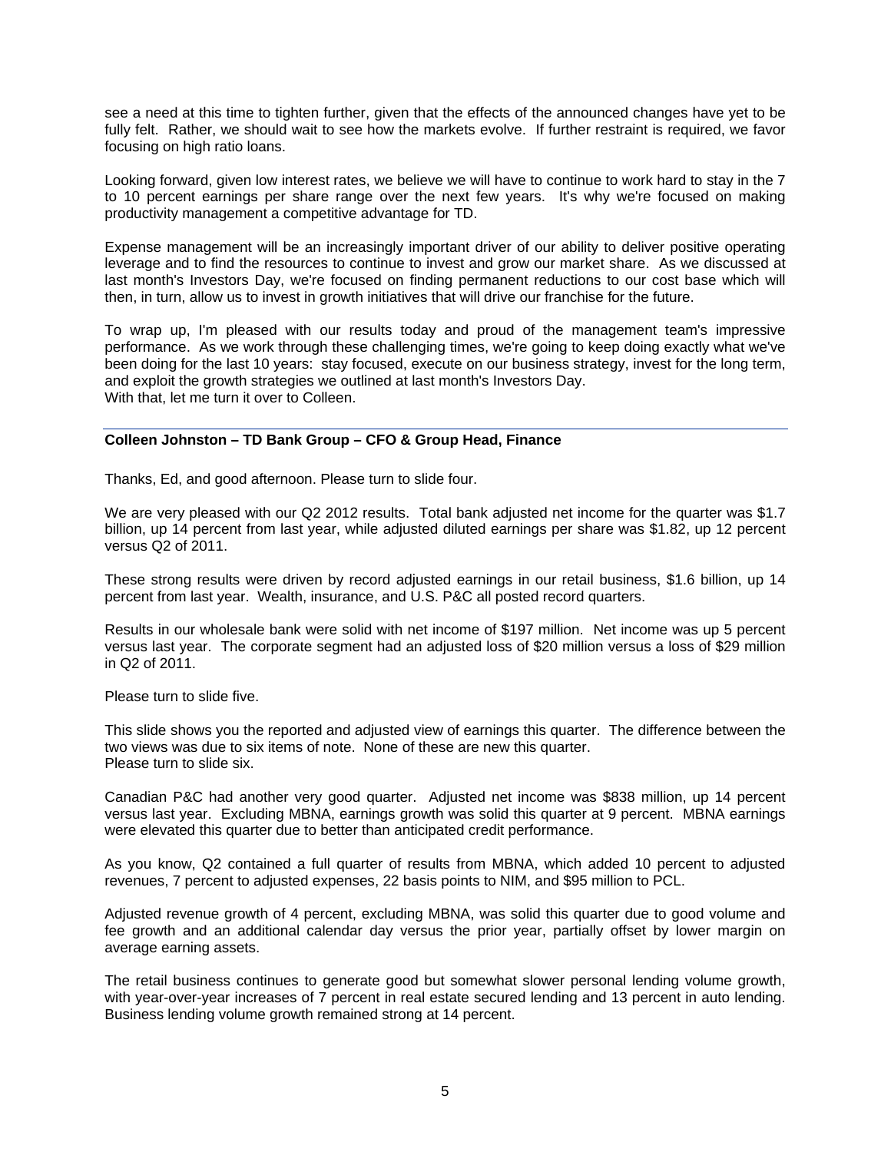see a need at this time to tighten further, given that the effects of the announced changes have yet to be fully felt. Rather, we should wait to see how the markets evolve. If further restraint is required, we favor focusing on high ratio loans.

Looking forward, given low interest rates, we believe we will have to continue to work hard to stay in the 7 to 10 percent earnings per share range over the next few years. It's why we're focused on making productivity management a competitive advantage for TD.

Expense management will be an increasingly important driver of our ability to deliver positive operating leverage and to find the resources to continue to invest and grow our market share. As we discussed at last month's Investors Day, we're focused on finding permanent reductions to our cost base which will then, in turn, allow us to invest in growth initiatives that will drive our franchise for the future.

To wrap up, I'm pleased with our results today and proud of the management team's impressive performance. As we work through these challenging times, we're going to keep doing exactly what we've been doing for the last 10 years: stay focused, execute on our business strategy, invest for the long term, and exploit the growth strategies we outlined at last month's Investors Day. With that, let me turn it over to Colleen.

# **Colleen Johnston – TD Bank Group – CFO & Group Head, Finance**

Thanks, Ed, and good afternoon. Please turn to slide four.

We are very pleased with our Q2 2012 results. Total bank adjusted net income for the quarter was \$1.7 billion, up 14 percent from last year, while adjusted diluted earnings per share was \$1.82, up 12 percent versus Q2 of 2011.

These strong results were driven by record adjusted earnings in our retail business, \$1.6 billion, up 14 percent from last year. Wealth, insurance, and U.S. P&C all posted record quarters.

Results in our wholesale bank were solid with net income of \$197 million. Net income was up 5 percent versus last year. The corporate segment had an adjusted loss of \$20 million versus a loss of \$29 million in Q2 of 2011.

Please turn to slide five.

This slide shows you the reported and adjusted view of earnings this quarter. The difference between the two views was due to six items of note. None of these are new this quarter. Please turn to slide six.

Canadian P&C had another very good quarter. Adjusted net income was \$838 million, up 14 percent versus last year. Excluding MBNA, earnings growth was solid this quarter at 9 percent. MBNA earnings were elevated this quarter due to better than anticipated credit performance.

As you know, Q2 contained a full quarter of results from MBNA, which added 10 percent to adjusted revenues, 7 percent to adjusted expenses, 22 basis points to NIM, and \$95 million to PCL.

Adjusted revenue growth of 4 percent, excluding MBNA, was solid this quarter due to good volume and fee growth and an additional calendar day versus the prior year, partially offset by lower margin on average earning assets.

The retail business continues to generate good but somewhat slower personal lending volume growth, with year-over-year increases of 7 percent in real estate secured lending and 13 percent in auto lending. Business lending volume growth remained strong at 14 percent.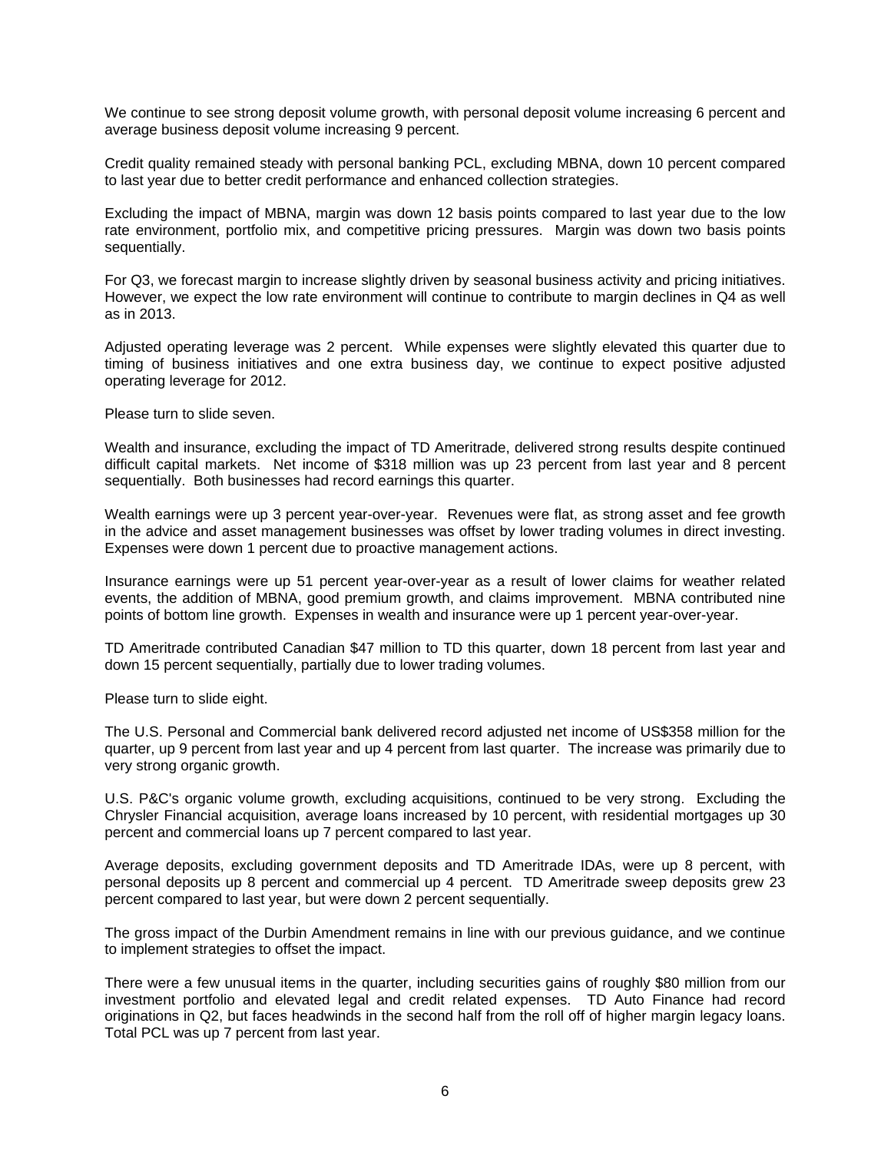We continue to see strong deposit volume growth, with personal deposit volume increasing 6 percent and average business deposit volume increasing 9 percent.

Credit quality remained steady with personal banking PCL, excluding MBNA, down 10 percent compared to last year due to better credit performance and enhanced collection strategies.

Excluding the impact of MBNA, margin was down 12 basis points compared to last year due to the low rate environment, portfolio mix, and competitive pricing pressures. Margin was down two basis points sequentially.

For Q3, we forecast margin to increase slightly driven by seasonal business activity and pricing initiatives. However, we expect the low rate environment will continue to contribute to margin declines in Q4 as well as in 2013.

Adjusted operating leverage was 2 percent. While expenses were slightly elevated this quarter due to timing of business initiatives and one extra business day, we continue to expect positive adjusted operating leverage for 2012.

Please turn to slide seven.

Wealth and insurance, excluding the impact of TD Ameritrade, delivered strong results despite continued difficult capital markets. Net income of \$318 million was up 23 percent from last year and 8 percent sequentially. Both businesses had record earnings this quarter.

Wealth earnings were up 3 percent year-over-year. Revenues were flat, as strong asset and fee growth in the advice and asset management businesses was offset by lower trading volumes in direct investing. Expenses were down 1 percent due to proactive management actions.

Insurance earnings were up 51 percent year-over-year as a result of lower claims for weather related events, the addition of MBNA, good premium growth, and claims improvement. MBNA contributed nine points of bottom line growth. Expenses in wealth and insurance were up 1 percent year-over-year.

TD Ameritrade contributed Canadian \$47 million to TD this quarter, down 18 percent from last year and down 15 percent sequentially, partially due to lower trading volumes.

Please turn to slide eight.

The U.S. Personal and Commercial bank delivered record adjusted net income of US\$358 million for the quarter, up 9 percent from last year and up 4 percent from last quarter. The increase was primarily due to very strong organic growth.

U.S. P&C's organic volume growth, excluding acquisitions, continued to be very strong. Excluding the Chrysler Financial acquisition, average loans increased by 10 percent, with residential mortgages up 30 percent and commercial loans up 7 percent compared to last year.

Average deposits, excluding government deposits and TD Ameritrade IDAs, were up 8 percent, with personal deposits up 8 percent and commercial up 4 percent. TD Ameritrade sweep deposits grew 23 percent compared to last year, but were down 2 percent sequentially.

The gross impact of the Durbin Amendment remains in line with our previous guidance, and we continue to implement strategies to offset the impact.

There were a few unusual items in the quarter, including securities gains of roughly \$80 million from our investment portfolio and elevated legal and credit related expenses. TD Auto Finance had record originations in Q2, but faces headwinds in the second half from the roll off of higher margin legacy loans. Total PCL was up 7 percent from last year.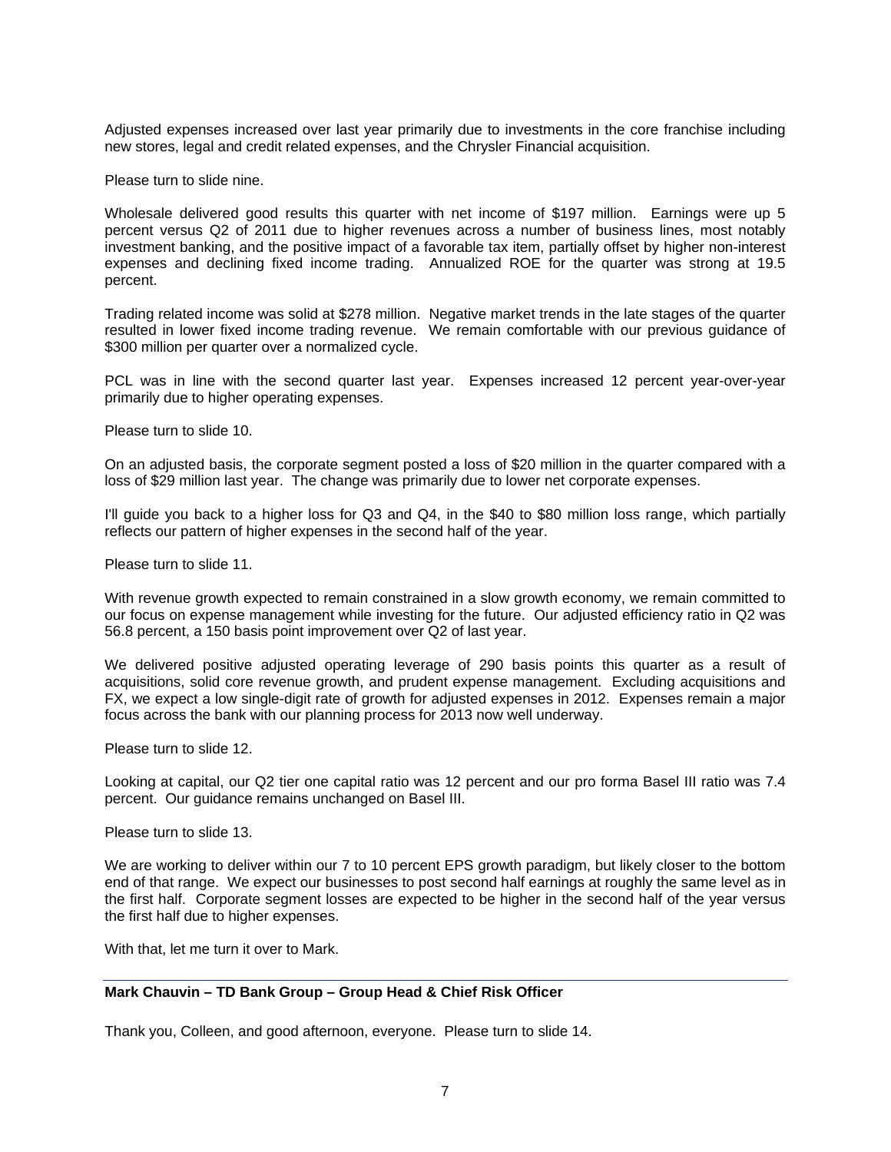Adjusted expenses increased over last year primarily due to investments in the core franchise including new stores, legal and credit related expenses, and the Chrysler Financial acquisition.

Please turn to slide nine.

Wholesale delivered good results this quarter with net income of \$197 million. Earnings were up 5 percent versus Q2 of 2011 due to higher revenues across a number of business lines, most notably investment banking, and the positive impact of a favorable tax item, partially offset by higher non-interest expenses and declining fixed income trading. Annualized ROE for the quarter was strong at 19.5 percent.

Trading related income was solid at \$278 million. Negative market trends in the late stages of the quarter resulted in lower fixed income trading revenue. We remain comfortable with our previous guidance of \$300 million per quarter over a normalized cycle.

PCL was in line with the second quarter last year. Expenses increased 12 percent year-over-year primarily due to higher operating expenses.

Please turn to slide 10.

On an adjusted basis, the corporate segment posted a loss of \$20 million in the quarter compared with a loss of \$29 million last year. The change was primarily due to lower net corporate expenses.

I'll guide you back to a higher loss for Q3 and Q4, in the \$40 to \$80 million loss range, which partially reflects our pattern of higher expenses in the second half of the year.

Please turn to slide 11.

With revenue growth expected to remain constrained in a slow growth economy, we remain committed to our focus on expense management while investing for the future. Our adjusted efficiency ratio in Q2 was 56.8 percent, a 150 basis point improvement over Q2 of last year.

We delivered positive adjusted operating leverage of 290 basis points this quarter as a result of acquisitions, solid core revenue growth, and prudent expense management. Excluding acquisitions and FX, we expect a low single-digit rate of growth for adjusted expenses in 2012. Expenses remain a major focus across the bank with our planning process for 2013 now well underway.

Please turn to slide 12.

Looking at capital, our Q2 tier one capital ratio was 12 percent and our pro forma Basel III ratio was 7.4 percent. Our guidance remains unchanged on Basel III.

Please turn to slide 13.

We are working to deliver within our 7 to 10 percent EPS growth paradigm, but likely closer to the bottom end of that range. We expect our businesses to post second half earnings at roughly the same level as in the first half. Corporate segment losses are expected to be higher in the second half of the year versus the first half due to higher expenses.

With that, let me turn it over to Mark.

# **Mark Chauvin – TD Bank Group – Group Head & Chief Risk Officer**

Thank you, Colleen, and good afternoon, everyone. Please turn to slide 14.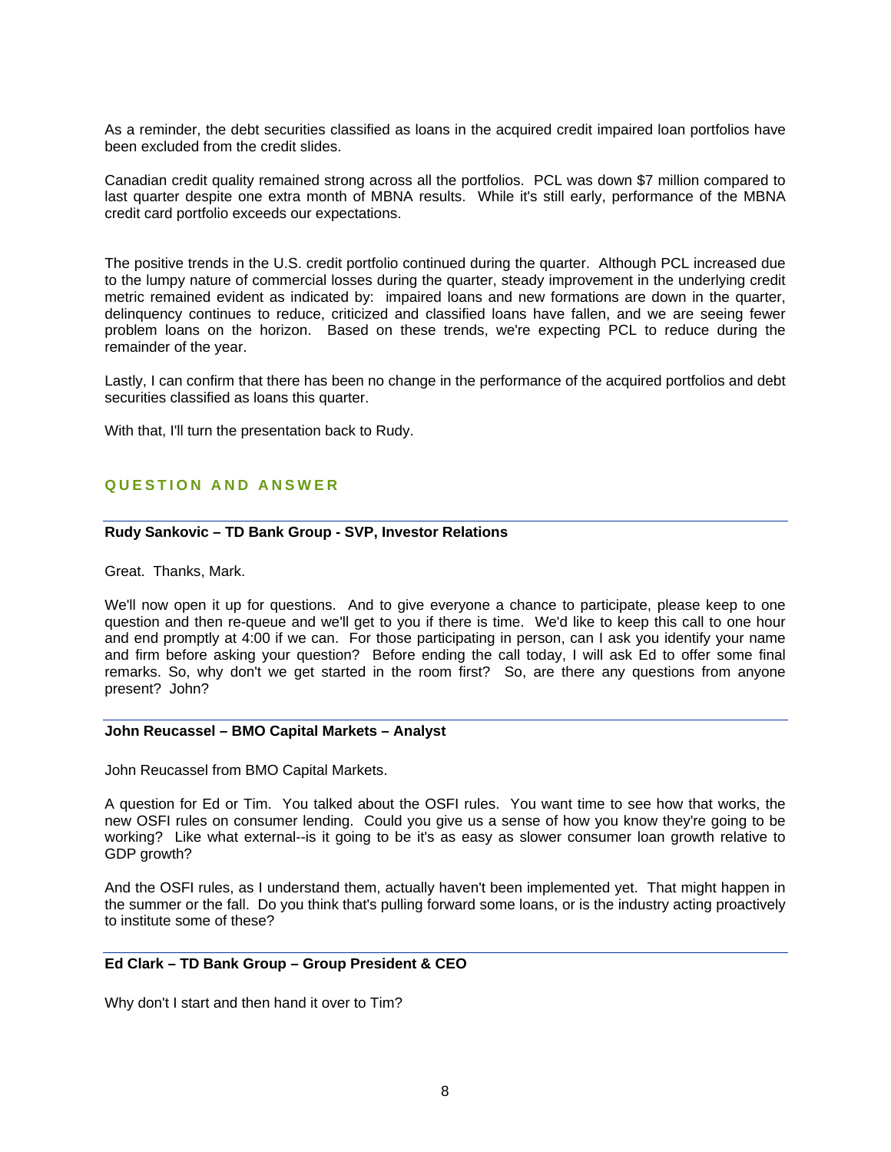As a reminder, the debt securities classified as loans in the acquired credit impaired loan portfolios have been excluded from the credit slides.

Canadian credit quality remained strong across all the portfolios. PCL was down \$7 million compared to last quarter despite one extra month of MBNA results. While it's still early, performance of the MBNA credit card portfolio exceeds our expectations.

The positive trends in the U.S. credit portfolio continued during the quarter. Although PCL increased due to the lumpy nature of commercial losses during the quarter, steady improvement in the underlying credit metric remained evident as indicated by: impaired loans and new formations are down in the quarter, delinquency continues to reduce, criticized and classified loans have fallen, and we are seeing fewer problem loans on the horizon. Based on these trends, we're expecting PCL to reduce during the remainder of the year.

Lastly, I can confirm that there has been no change in the performance of the acquired portfolios and debt securities classified as loans this quarter.

With that, I'll turn the presentation back to Rudy.

# **QUESTION AND ANSWER**

### **Rudy Sankovic – TD Bank Group - SVP, Investor Relations**

Great. Thanks, Mark.

We'll now open it up for questions. And to give everyone a chance to participate, please keep to one question and then re-queue and we'll get to you if there is time. We'd like to keep this call to one hour and end promptly at 4:00 if we can. For those participating in person, can I ask you identify your name and firm before asking your question? Before ending the call today, I will ask Ed to offer some final remarks. So, why don't we get started in the room first? So, are there any questions from anyone present? John?

#### **John Reucassel – BMO Capital Markets – Analyst**

John Reucassel from BMO Capital Markets.

A question for Ed or Tim. You talked about the OSFI rules. You want time to see how that works, the new OSFI rules on consumer lending. Could you give us a sense of how you know they're going to be working? Like what external--is it going to be it's as easy as slower consumer loan growth relative to GDP growth?

And the OSFI rules, as I understand them, actually haven't been implemented yet. That might happen in the summer or the fall. Do you think that's pulling forward some loans, or is the industry acting proactively to institute some of these?

#### **Ed Clark – TD Bank Group – Group President & CEO**

Why don't I start and then hand it over to Tim?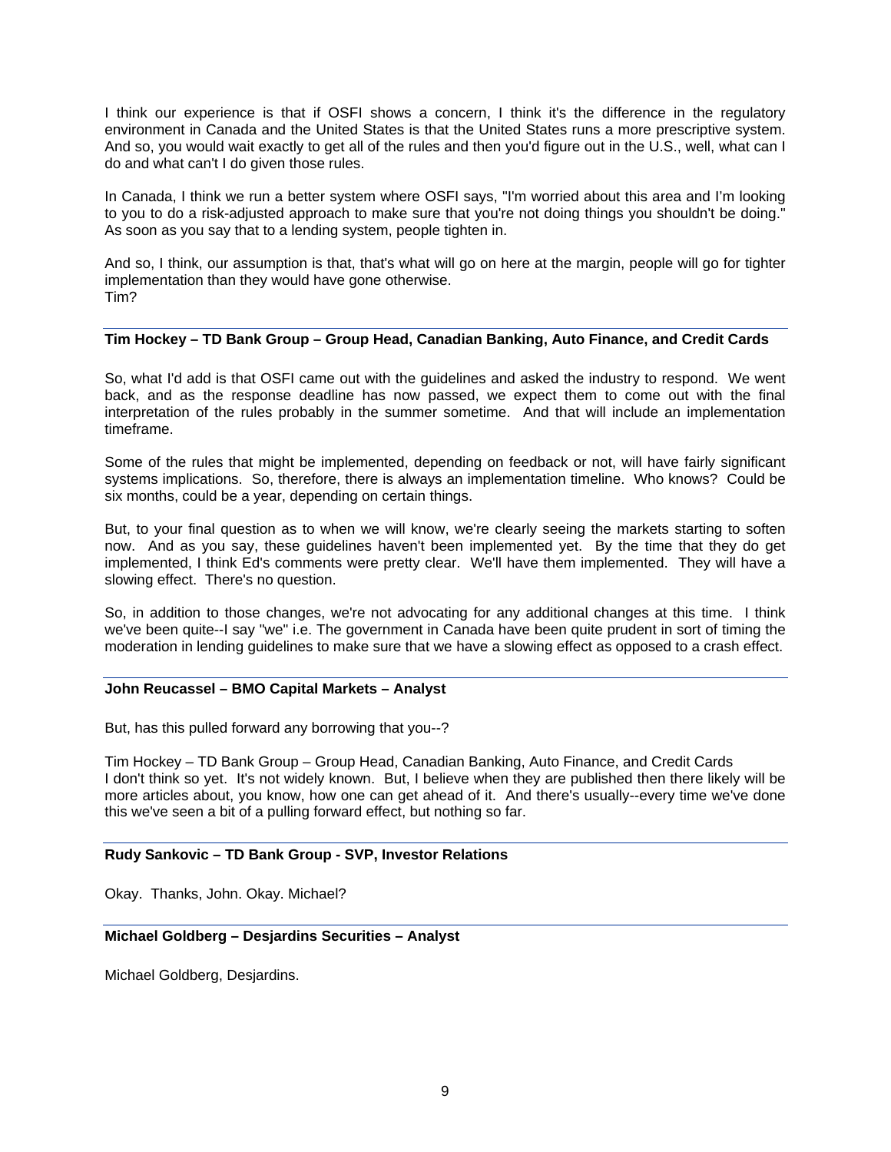I think our experience is that if OSFI shows a concern, I think it's the difference in the regulatory environment in Canada and the United States is that the United States runs a more prescriptive system. And so, you would wait exactly to get all of the rules and then you'd figure out in the U.S., well, what can I do and what can't I do given those rules.

In Canada, I think we run a better system where OSFI says, "I'm worried about this area and I'm looking to you to do a risk-adjusted approach to make sure that you're not doing things you shouldn't be doing." As soon as you say that to a lending system, people tighten in.

And so, I think, our assumption is that, that's what will go on here at the margin, people will go for tighter implementation than they would have gone otherwise. Tim?

# **Tim Hockey – TD Bank Group – Group Head, Canadian Banking, Auto Finance, and Credit Cards**

So, what I'd add is that OSFI came out with the guidelines and asked the industry to respond. We went back, and as the response deadline has now passed, we expect them to come out with the final interpretation of the rules probably in the summer sometime. And that will include an implementation timeframe.

Some of the rules that might be implemented, depending on feedback or not, will have fairly significant systems implications. So, therefore, there is always an implementation timeline. Who knows? Could be six months, could be a year, depending on certain things.

But, to your final question as to when we will know, we're clearly seeing the markets starting to soften now. And as you say, these guidelines haven't been implemented yet. By the time that they do get implemented, I think Ed's comments were pretty clear. We'll have them implemented. They will have a slowing effect. There's no question.

So, in addition to those changes, we're not advocating for any additional changes at this time. I think we've been quite--I say "we" i.e. The government in Canada have been quite prudent in sort of timing the moderation in lending guidelines to make sure that we have a slowing effect as opposed to a crash effect.

### **John Reucassel – BMO Capital Markets – Analyst**

But, has this pulled forward any borrowing that you--?

Tim Hockey – TD Bank Group – Group Head, Canadian Banking, Auto Finance, and Credit Cards I don't think so yet. It's not widely known. But, I believe when they are published then there likely will be more articles about, you know, how one can get ahead of it. And there's usually--every time we've done this we've seen a bit of a pulling forward effect, but nothing so far.

#### **Rudy Sankovic – TD Bank Group - SVP, Investor Relations**

Okay. Thanks, John. Okay. Michael?

# **Michael Goldberg – Desjardins Securities – Analyst**

Michael Goldberg, Desjardins.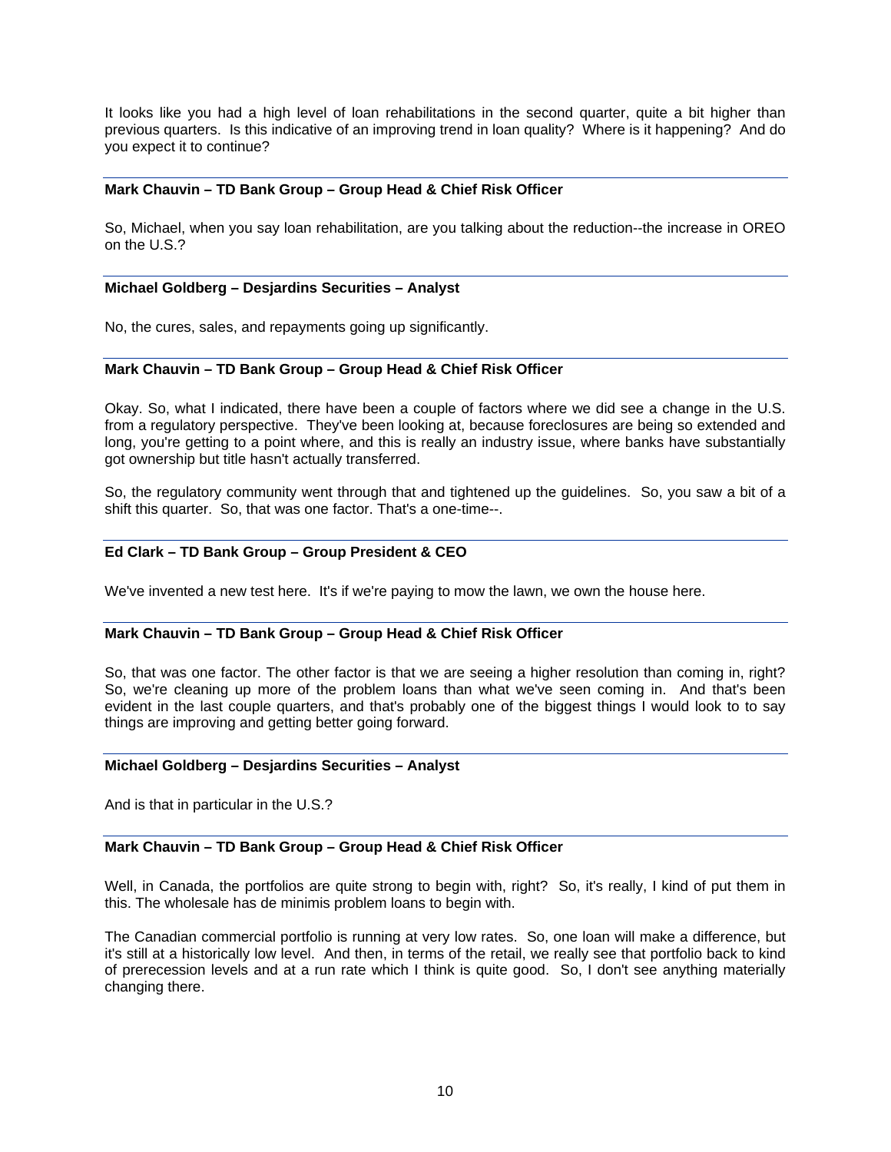It looks like you had a high level of loan rehabilitations in the second quarter, quite a bit higher than previous quarters. Is this indicative of an improving trend in loan quality? Where is it happening? And do you expect it to continue?

### **Mark Chauvin – TD Bank Group – Group Head & Chief Risk Officer**

So, Michael, when you say loan rehabilitation, are you talking about the reduction--the increase in OREO on the U.S.?

#### **Michael Goldberg – Desjardins Securities – Analyst**

No, the cures, sales, and repayments going up significantly.

#### **Mark Chauvin – TD Bank Group – Group Head & Chief Risk Officer**

Okay. So, what I indicated, there have been a couple of factors where we did see a change in the U.S. from a regulatory perspective. They've been looking at, because foreclosures are being so extended and long, you're getting to a point where, and this is really an industry issue, where banks have substantially got ownership but title hasn't actually transferred.

So, the regulatory community went through that and tightened up the guidelines. So, you saw a bit of a shift this quarter. So, that was one factor. That's a one-time--.

# **Ed Clark – TD Bank Group – Group President & CEO**

We've invented a new test here. It's if we're paying to mow the lawn, we own the house here.

### **Mark Chauvin – TD Bank Group – Group Head & Chief Risk Officer**

So, that was one factor. The other factor is that we are seeing a higher resolution than coming in, right? So, we're cleaning up more of the problem loans than what we've seen coming in. And that's been evident in the last couple quarters, and that's probably one of the biggest things I would look to to say things are improving and getting better going forward.

#### **Michael Goldberg – Desjardins Securities – Analyst**

And is that in particular in the U.S.?

### **Mark Chauvin – TD Bank Group – Group Head & Chief Risk Officer**

Well, in Canada, the portfolios are quite strong to begin with, right? So, it's really, I kind of put them in this. The wholesale has de minimis problem loans to begin with.

The Canadian commercial portfolio is running at very low rates. So, one loan will make a difference, but it's still at a historically low level. And then, in terms of the retail, we really see that portfolio back to kind of prerecession levels and at a run rate which I think is quite good. So, I don't see anything materially changing there.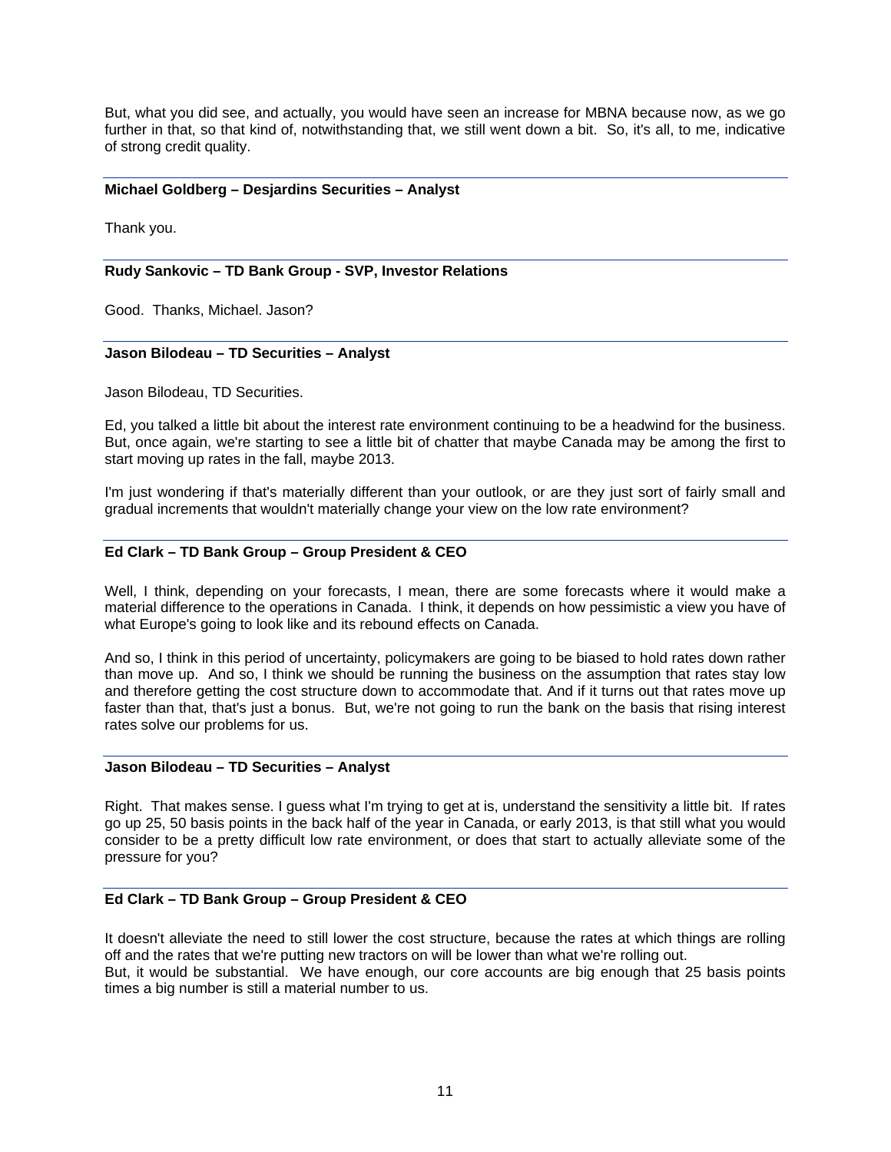But, what you did see, and actually, you would have seen an increase for MBNA because now, as we go further in that, so that kind of, notwithstanding that, we still went down a bit. So, it's all, to me, indicative of strong credit quality.

### **Michael Goldberg – Desjardins Securities – Analyst**

Thank you.

#### **Rudy Sankovic – TD Bank Group - SVP, Investor Relations**

Good. Thanks, Michael. Jason?

#### **Jason Bilodeau – TD Securities – Analyst**

Jason Bilodeau, TD Securities.

Ed, you talked a little bit about the interest rate environment continuing to be a headwind for the business. But, once again, we're starting to see a little bit of chatter that maybe Canada may be among the first to start moving up rates in the fall, maybe 2013.

I'm just wondering if that's materially different than your outlook, or are they just sort of fairly small and gradual increments that wouldn't materially change your view on the low rate environment?

### **Ed Clark – TD Bank Group – Group President & CEO**

Well, I think, depending on your forecasts, I mean, there are some forecasts where it would make a material difference to the operations in Canada. I think, it depends on how pessimistic a view you have of what Europe's going to look like and its rebound effects on Canada.

And so, I think in this period of uncertainty, policymakers are going to be biased to hold rates down rather than move up. And so, I think we should be running the business on the assumption that rates stay low and therefore getting the cost structure down to accommodate that. And if it turns out that rates move up faster than that, that's just a bonus. But, we're not going to run the bank on the basis that rising interest rates solve our problems for us.

#### **Jason Bilodeau – TD Securities – Analyst**

Right. That makes sense. I guess what I'm trying to get at is, understand the sensitivity a little bit. If rates go up 25, 50 basis points in the back half of the year in Canada, or early 2013, is that still what you would consider to be a pretty difficult low rate environment, or does that start to actually alleviate some of the pressure for you?

### **Ed Clark – TD Bank Group – Group President & CEO**

It doesn't alleviate the need to still lower the cost structure, because the rates at which things are rolling off and the rates that we're putting new tractors on will be lower than what we're rolling out. But, it would be substantial. We have enough, our core accounts are big enough that 25 basis points times a big number is still a material number to us.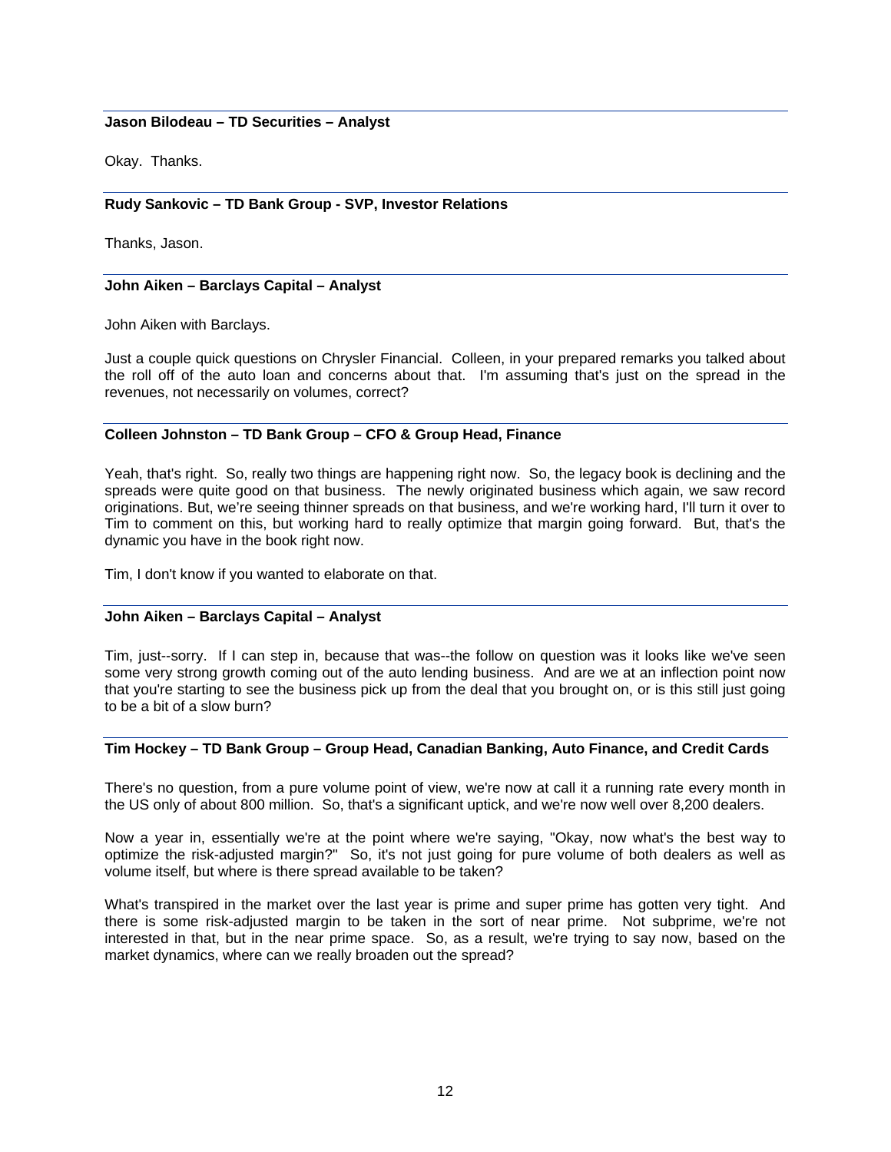### **Jason Bilodeau – TD Securities – Analyst**

Okay. Thanks.

# **Rudy Sankovic – TD Bank Group - SVP, Investor Relations**

Thanks, Jason.

### **John Aiken – Barclays Capital – Analyst**

John Aiken with Barclays.

Just a couple quick questions on Chrysler Financial. Colleen, in your prepared remarks you talked about the roll off of the auto loan and concerns about that. I'm assuming that's just on the spread in the revenues, not necessarily on volumes, correct?

### **Colleen Johnston – TD Bank Group – CFO & Group Head, Finance**

Yeah, that's right. So, really two things are happening right now. So, the legacy book is declining and the spreads were quite good on that business. The newly originated business which again, we saw record originations. But, we're seeing thinner spreads on that business, and we're working hard, I'll turn it over to Tim to comment on this, but working hard to really optimize that margin going forward. But, that's the dynamic you have in the book right now.

Tim, I don't know if you wanted to elaborate on that.

# **John Aiken – Barclays Capital – Analyst**

Tim, just--sorry. If I can step in, because that was--the follow on question was it looks like we've seen some very strong growth coming out of the auto lending business. And are we at an inflection point now that you're starting to see the business pick up from the deal that you brought on, or is this still just going to be a bit of a slow burn?

### **Tim Hockey – TD Bank Group – Group Head, Canadian Banking, Auto Finance, and Credit Cards**

There's no question, from a pure volume point of view, we're now at call it a running rate every month in the US only of about 800 million. So, that's a significant uptick, and we're now well over 8,200 dealers.

Now a year in, essentially we're at the point where we're saying, "Okay, now what's the best way to optimize the risk-adjusted margin?" So, it's not just going for pure volume of both dealers as well as volume itself, but where is there spread available to be taken?

What's transpired in the market over the last year is prime and super prime has gotten very tight. And there is some risk-adjusted margin to be taken in the sort of near prime. Not subprime, we're not interested in that, but in the near prime space. So, as a result, we're trying to say now, based on the market dynamics, where can we really broaden out the spread?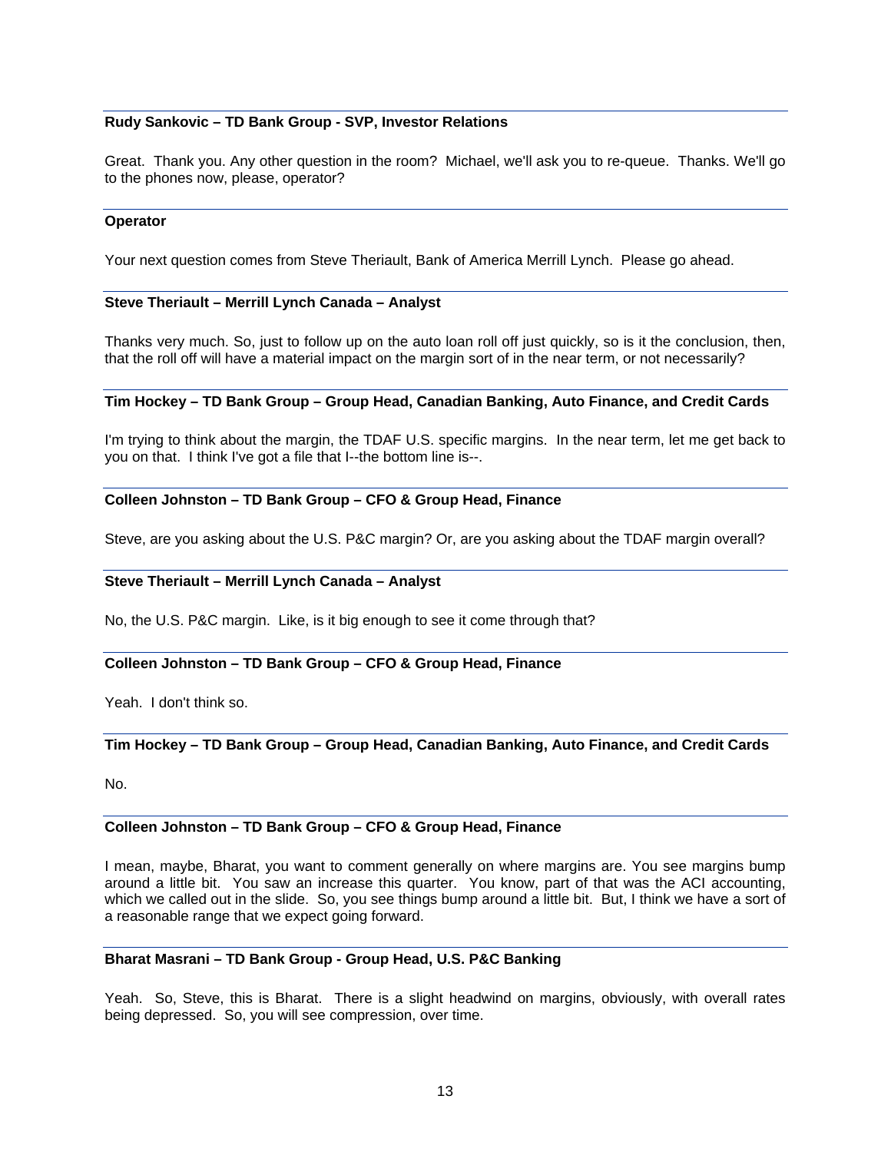### **Rudy Sankovic – TD Bank Group - SVP, Investor Relations**

Great. Thank you. Any other question in the room? Michael, we'll ask you to re-queue. Thanks. We'll go to the phones now, please, operator?

#### **Operator**

Your next question comes from Steve Theriault, Bank of America Merrill Lynch. Please go ahead.

#### **Steve Theriault – Merrill Lynch Canada – Analyst**

Thanks very much. So, just to follow up on the auto loan roll off just quickly, so is it the conclusion, then, that the roll off will have a material impact on the margin sort of in the near term, or not necessarily?

### **Tim Hockey – TD Bank Group – Group Head, Canadian Banking, Auto Finance, and Credit Cards**

I'm trying to think about the margin, the TDAF U.S. specific margins. In the near term, let me get back to you on that. I think I've got a file that I--the bottom line is--.

#### **Colleen Johnston – TD Bank Group – CFO & Group Head, Finance**

Steve, are you asking about the U.S. P&C margin? Or, are you asking about the TDAF margin overall?

#### **Steve Theriault – Merrill Lynch Canada – Analyst**

No, the U.S. P&C margin. Like, is it big enough to see it come through that?

### **Colleen Johnston – TD Bank Group – CFO & Group Head, Finance**

Yeah. I don't think so.

### **Tim Hockey – TD Bank Group – Group Head, Canadian Banking, Auto Finance, and Credit Cards**

No.

#### **Colleen Johnston – TD Bank Group – CFO & Group Head, Finance**

I mean, maybe, Bharat, you want to comment generally on where margins are. You see margins bump around a little bit. You saw an increase this quarter. You know, part of that was the ACI accounting, which we called out in the slide. So, you see things bump around a little bit. But, I think we have a sort of a reasonable range that we expect going forward.

### **Bharat Masrani – TD Bank Group - Group Head, U.S. P&C Banking**

Yeah. So, Steve, this is Bharat. There is a slight headwind on margins, obviously, with overall rates being depressed. So, you will see compression, over time.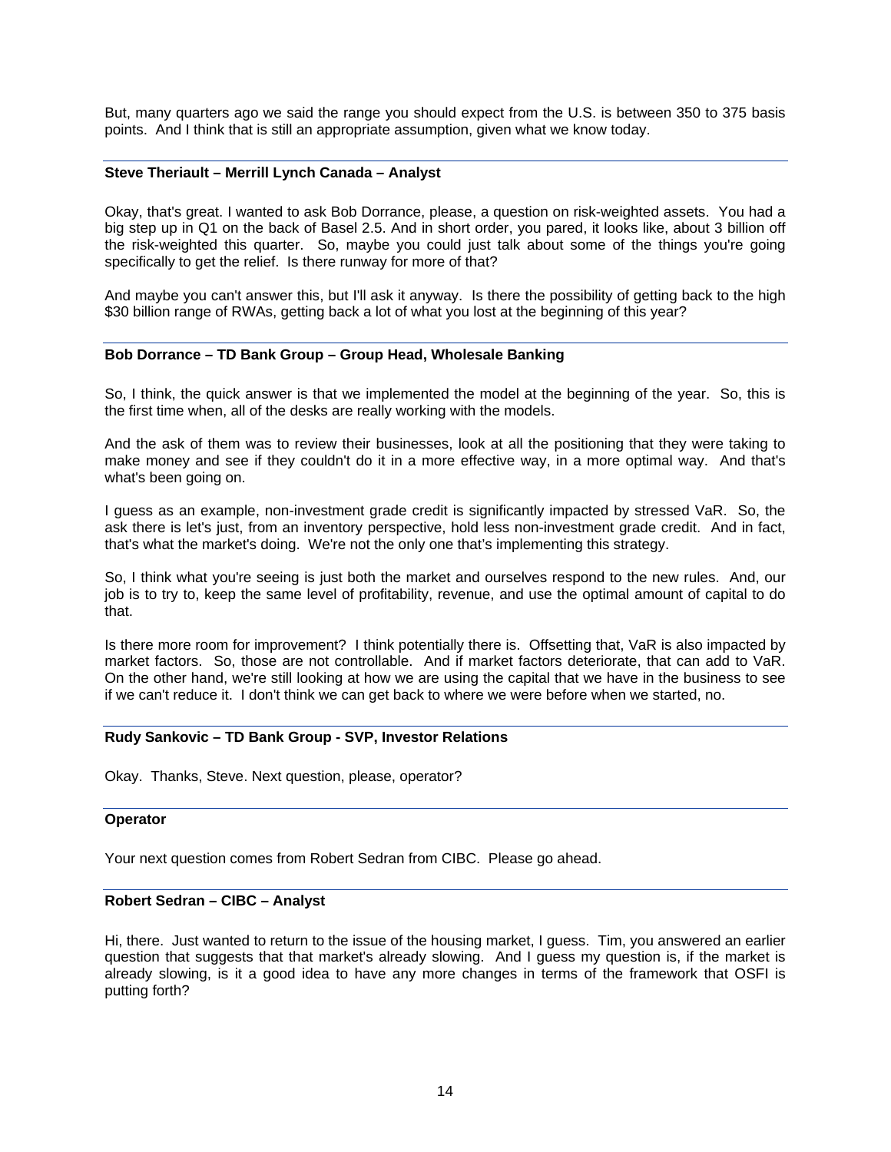But, many quarters ago we said the range you should expect from the U.S. is between 350 to 375 basis points. And I think that is still an appropriate assumption, given what we know today.

### **Steve Theriault – Merrill Lynch Canada – Analyst**

Okay, that's great. I wanted to ask Bob Dorrance, please, a question on risk-weighted assets. You had a big step up in Q1 on the back of Basel 2.5. And in short order, you pared, it looks like, about 3 billion off the risk-weighted this quarter. So, maybe you could just talk about some of the things you're going specifically to get the relief. Is there runway for more of that?

And maybe you can't answer this, but I'll ask it anyway. Is there the possibility of getting back to the high \$30 billion range of RWAs, getting back a lot of what you lost at the beginning of this year?

#### **Bob Dorrance – TD Bank Group – Group Head, Wholesale Banking**

So, I think, the quick answer is that we implemented the model at the beginning of the year. So, this is the first time when, all of the desks are really working with the models.

And the ask of them was to review their businesses, look at all the positioning that they were taking to make money and see if they couldn't do it in a more effective way, in a more optimal way. And that's what's been going on.

I guess as an example, non-investment grade credit is significantly impacted by stressed VaR. So, the ask there is let's just, from an inventory perspective, hold less non-investment grade credit. And in fact, that's what the market's doing. We're not the only one that's implementing this strategy.

So, I think what you're seeing is just both the market and ourselves respond to the new rules. And, our job is to try to, keep the same level of profitability, revenue, and use the optimal amount of capital to do that.

Is there more room for improvement? I think potentially there is. Offsetting that, VaR is also impacted by market factors. So, those are not controllable. And if market factors deteriorate, that can add to VaR. On the other hand, we're still looking at how we are using the capital that we have in the business to see if we can't reduce it. I don't think we can get back to where we were before when we started, no.

#### **Rudy Sankovic – TD Bank Group - SVP, Investor Relations**

Okay. Thanks, Steve. Next question, please, operator?

#### **Operator**

Your next question comes from Robert Sedran from CIBC. Please go ahead.

#### **Robert Sedran – CIBC – Analyst**

Hi, there. Just wanted to return to the issue of the housing market, I guess. Tim, you answered an earlier question that suggests that that market's already slowing. And I guess my question is, if the market is already slowing, is it a good idea to have any more changes in terms of the framework that OSFI is putting forth?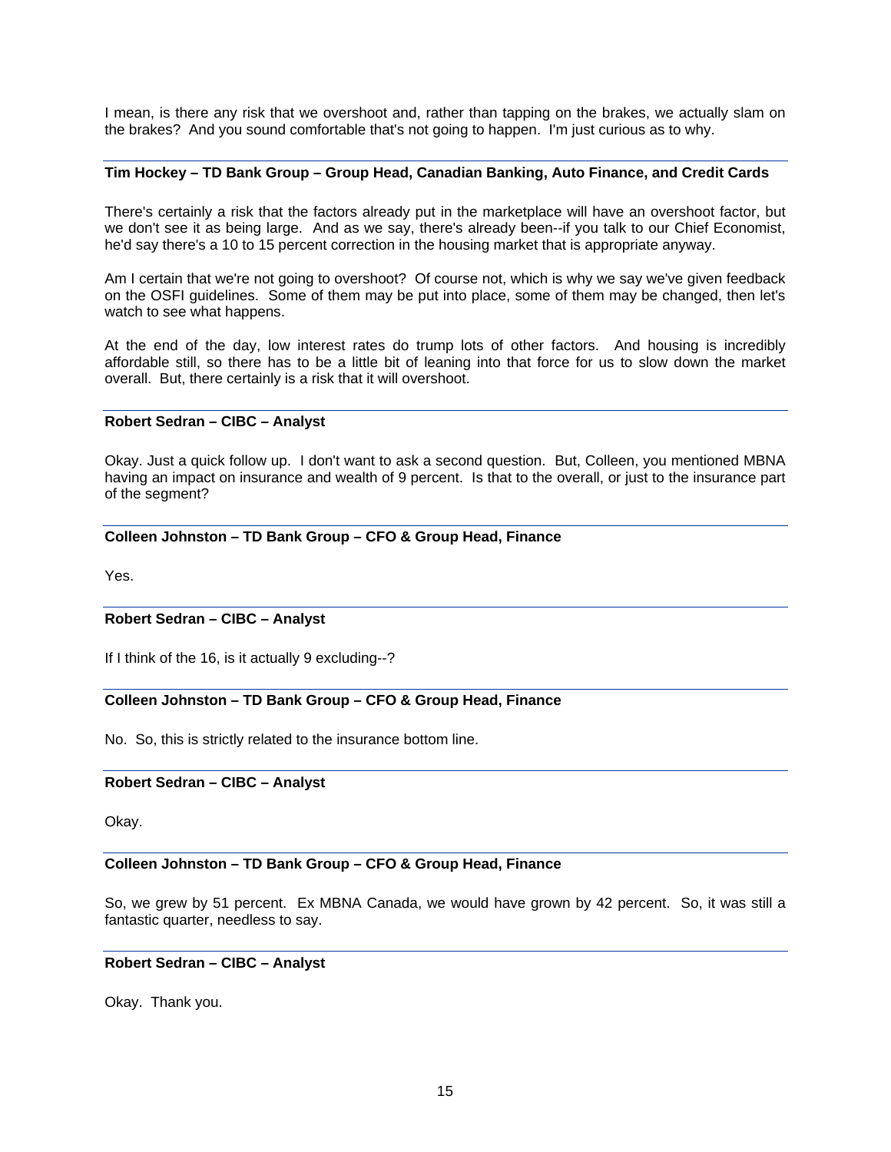I mean, is there any risk that we overshoot and, rather than tapping on the brakes, we actually slam on the brakes? And you sound comfortable that's not going to happen. I'm just curious as to why.

### **Tim Hockey – TD Bank Group – Group Head, Canadian Banking, Auto Finance, and Credit Cards**

There's certainly a risk that the factors already put in the marketplace will have an overshoot factor, but we don't see it as being large. And as we say, there's already been--if you talk to our Chief Economist, he'd say there's a 10 to 15 percent correction in the housing market that is appropriate anyway.

Am I certain that we're not going to overshoot? Of course not, which is why we say we've given feedback on the OSFI guidelines. Some of them may be put into place, some of them may be changed, then let's watch to see what happens.

At the end of the day, low interest rates do trump lots of other factors. And housing is incredibly affordable still, so there has to be a little bit of leaning into that force for us to slow down the market overall. But, there certainly is a risk that it will overshoot.

### **Robert Sedran – CIBC – Analyst**

Okay. Just a quick follow up. I don't want to ask a second question. But, Colleen, you mentioned MBNA having an impact on insurance and wealth of 9 percent. Is that to the overall, or just to the insurance part of the segment?

### **Colleen Johnston – TD Bank Group – CFO & Group Head, Finance**

Yes.

### **Robert Sedran – CIBC – Analyst**

If I think of the 16, is it actually 9 excluding--?

### **Colleen Johnston – TD Bank Group – CFO & Group Head, Finance**

No. So, this is strictly related to the insurance bottom line.

### **Robert Sedran – CIBC – Analyst**

Okay.

### **Colleen Johnston – TD Bank Group – CFO & Group Head, Finance**

So, we grew by 51 percent. Ex MBNA Canada, we would have grown by 42 percent. So, it was still a fantastic quarter, needless to say.

#### **Robert Sedran – CIBC – Analyst**

Okay. Thank you.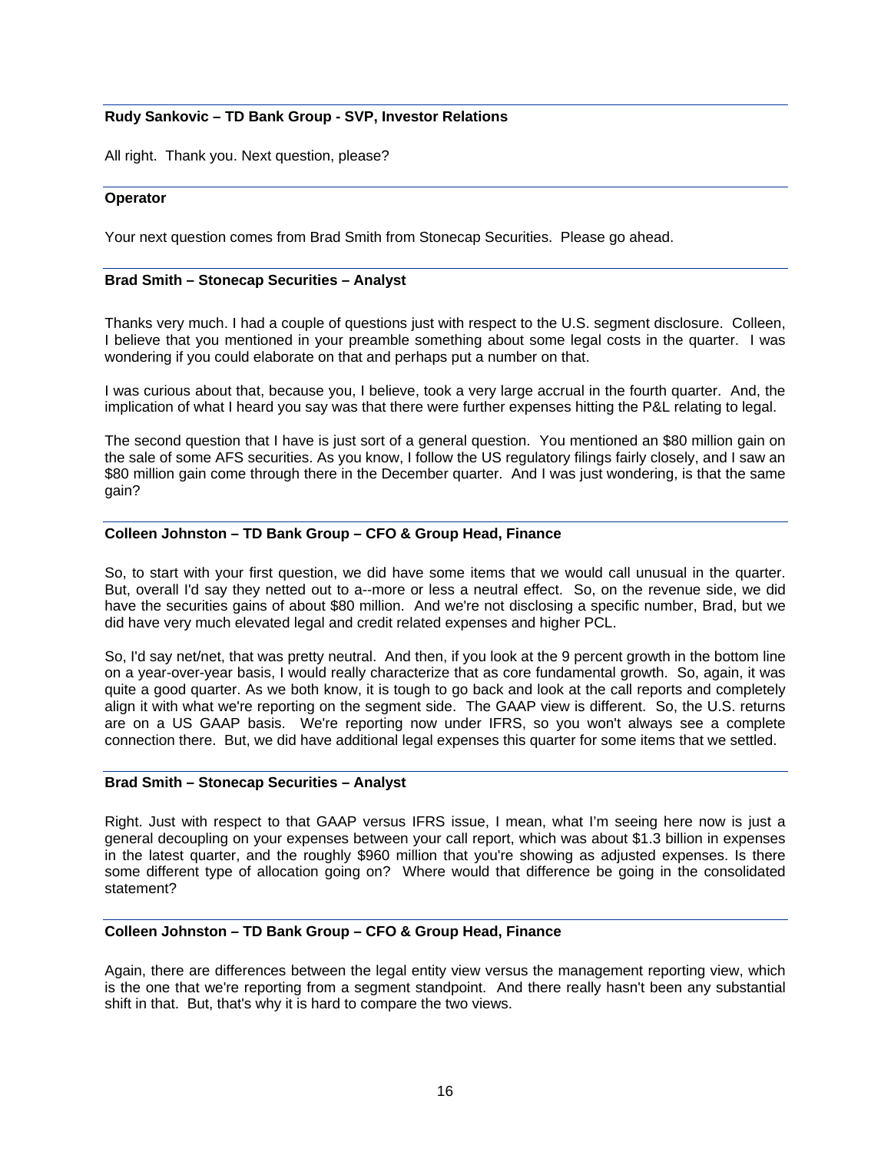# **Rudy Sankovic – TD Bank Group - SVP, Investor Relations**

All right. Thank you. Next question, please?

#### **Operator**

Your next question comes from Brad Smith from Stonecap Securities. Please go ahead.

#### **Brad Smith – Stonecap Securities – Analyst**

Thanks very much. I had a couple of questions just with respect to the U.S. segment disclosure. Colleen, I believe that you mentioned in your preamble something about some legal costs in the quarter. I was wondering if you could elaborate on that and perhaps put a number on that.

I was curious about that, because you, I believe, took a very large accrual in the fourth quarter. And, the implication of what I heard you say was that there were further expenses hitting the P&L relating to legal.

The second question that I have is just sort of a general question. You mentioned an \$80 million gain on the sale of some AFS securities. As you know, I follow the US regulatory filings fairly closely, and I saw an \$80 million gain come through there in the December quarter. And I was just wondering, is that the same gain?

#### **Colleen Johnston – TD Bank Group – CFO & Group Head, Finance**

So, to start with your first question, we did have some items that we would call unusual in the quarter. But, overall I'd say they netted out to a--more or less a neutral effect. So, on the revenue side, we did have the securities gains of about \$80 million. And we're not disclosing a specific number, Brad, but we did have very much elevated legal and credit related expenses and higher PCL.

So, I'd say net/net, that was pretty neutral. And then, if you look at the 9 percent growth in the bottom line on a year-over-year basis, I would really characterize that as core fundamental growth. So, again, it was quite a good quarter. As we both know, it is tough to go back and look at the call reports and completely align it with what we're reporting on the segment side. The GAAP view is different. So, the U.S. returns are on a US GAAP basis. We're reporting now under IFRS, so you won't always see a complete connection there. But, we did have additional legal expenses this quarter for some items that we settled.

#### **Brad Smith – Stonecap Securities – Analyst**

Right. Just with respect to that GAAP versus IFRS issue, I mean, what I'm seeing here now is just a general decoupling on your expenses between your call report, which was about \$1.3 billion in expenses in the latest quarter, and the roughly \$960 million that you're showing as adjusted expenses. Is there some different type of allocation going on? Where would that difference be going in the consolidated statement?

#### **Colleen Johnston – TD Bank Group – CFO & Group Head, Finance**

Again, there are differences between the legal entity view versus the management reporting view, which is the one that we're reporting from a segment standpoint. And there really hasn't been any substantial shift in that. But, that's why it is hard to compare the two views.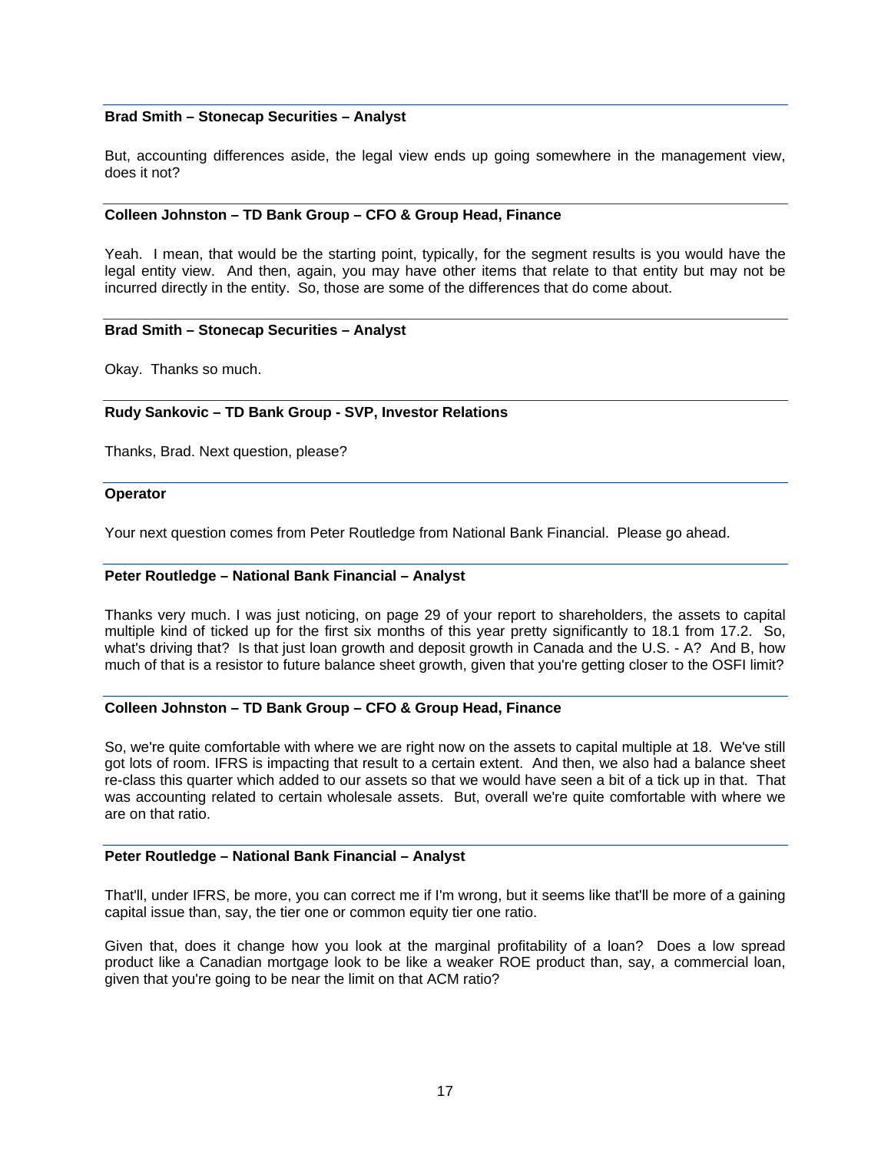### **Brad Smith – Stonecap Securities – Analyst**

But, accounting differences aside, the legal view ends up going somewhere in the management view, does it not?

### **Colleen Johnston – TD Bank Group – CFO & Group Head, Finance**

Yeah. I mean, that would be the starting point, typically, for the segment results is you would have the legal entity view. And then, again, you may have other items that relate to that entity but may not be incurred directly in the entity. So, those are some of the differences that do come about.

#### **Brad Smith – Stonecap Securities – Analyst**

Okay. Thanks so much.

#### **Rudy Sankovic – TD Bank Group - SVP, Investor Relations**

Thanks, Brad. Next question, please?

#### **Operator**

Your next question comes from Peter Routledge from National Bank Financial. Please go ahead.

#### **Peter Routledge – National Bank Financial – Analyst**

Thanks very much. I was just noticing, on page 29 of your report to shareholders, the assets to capital multiple kind of ticked up for the first six months of this year pretty significantly to 18.1 from 17.2. So, what's driving that? Is that just loan growth and deposit growth in Canada and the U.S. - A? And B, how much of that is a resistor to future balance sheet growth, given that you're getting closer to the OSFI limit?

#### **Colleen Johnston – TD Bank Group – CFO & Group Head, Finance**

So, we're quite comfortable with where we are right now on the assets to capital multiple at 18. We've still got lots of room. IFRS is impacting that result to a certain extent. And then, we also had a balance sheet re-class this quarter which added to our assets so that we would have seen a bit of a tick up in that. That was accounting related to certain wholesale assets. But, overall we're quite comfortable with where we are on that ratio.

#### **Peter Routledge – National Bank Financial – Analyst**

That'll, under IFRS, be more, you can correct me if I'm wrong, but it seems like that'll be more of a gaining capital issue than, say, the tier one or common equity tier one ratio.

Given that, does it change how you look at the marginal profitability of a loan? Does a low spread product like a Canadian mortgage look to be like a weaker ROE product than, say, a commercial loan, given that you're going to be near the limit on that ACM ratio?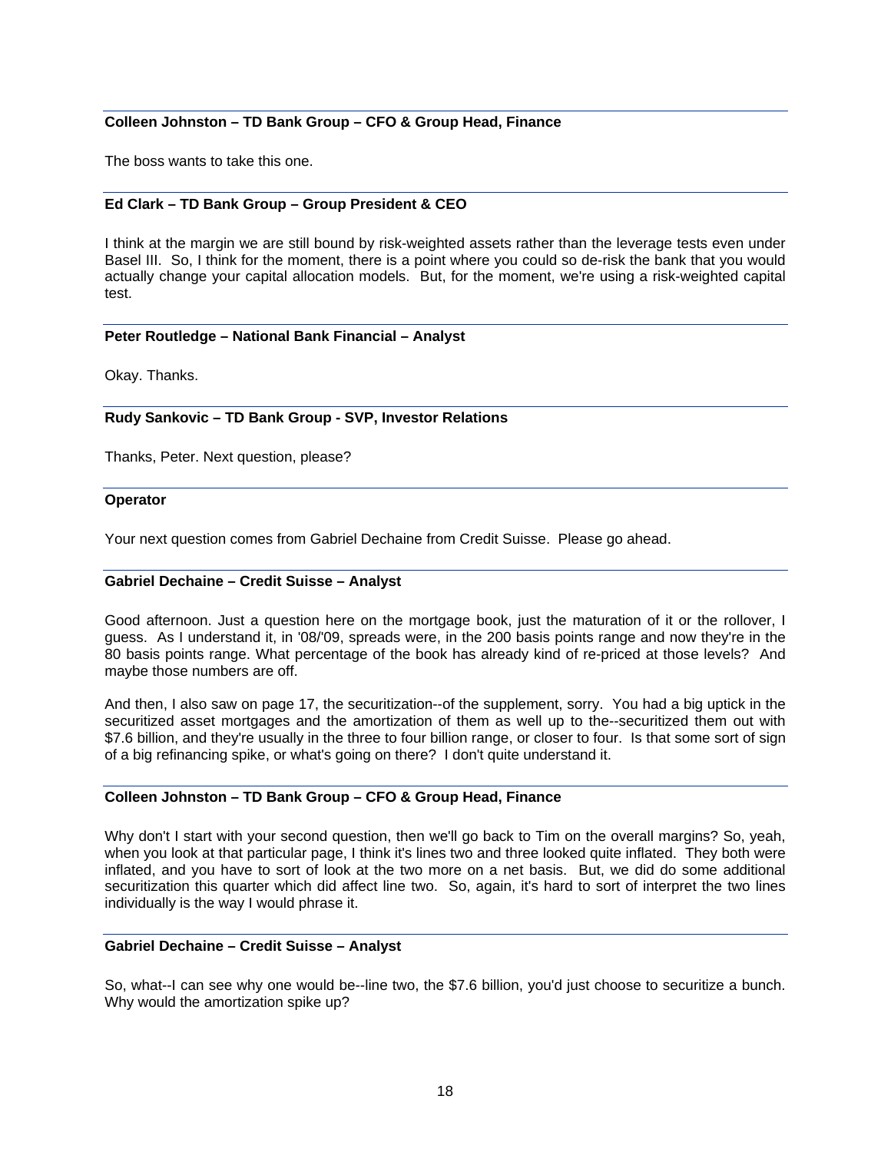### **Colleen Johnston – TD Bank Group – CFO & Group Head, Finance**

The boss wants to take this one.

### **Ed Clark – TD Bank Group – Group President & CEO**

I think at the margin we are still bound by risk-weighted assets rather than the leverage tests even under Basel III. So, I think for the moment, there is a point where you could so de-risk the bank that you would actually change your capital allocation models. But, for the moment, we're using a risk-weighted capital test.

#### **Peter Routledge – National Bank Financial – Analyst**

Okay. Thanks.

#### **Rudy Sankovic – TD Bank Group - SVP, Investor Relations**

Thanks, Peter. Next question, please?

#### **Operator**

Your next question comes from Gabriel Dechaine from Credit Suisse. Please go ahead.

#### **Gabriel Dechaine – Credit Suisse – Analyst**

Good afternoon. Just a question here on the mortgage book, just the maturation of it or the rollover, I guess. As I understand it, in '08/'09, spreads were, in the 200 basis points range and now they're in the 80 basis points range. What percentage of the book has already kind of re-priced at those levels? And maybe those numbers are off.

And then, I also saw on page 17, the securitization--of the supplement, sorry. You had a big uptick in the securitized asset mortgages and the amortization of them as well up to the--securitized them out with \$7.6 billion, and they're usually in the three to four billion range, or closer to four. Is that some sort of sign of a big refinancing spike, or what's going on there? I don't quite understand it.

### **Colleen Johnston – TD Bank Group – CFO & Group Head, Finance**

Why don't I start with your second question, then we'll go back to Tim on the overall margins? So, yeah, when you look at that particular page, I think it's lines two and three looked quite inflated. They both were inflated, and you have to sort of look at the two more on a net basis. But, we did do some additional securitization this quarter which did affect line two. So, again, it's hard to sort of interpret the two lines individually is the way I would phrase it.

#### **Gabriel Dechaine – Credit Suisse – Analyst**

So, what--I can see why one would be--line two, the \$7.6 billion, you'd just choose to securitize a bunch. Why would the amortization spike up?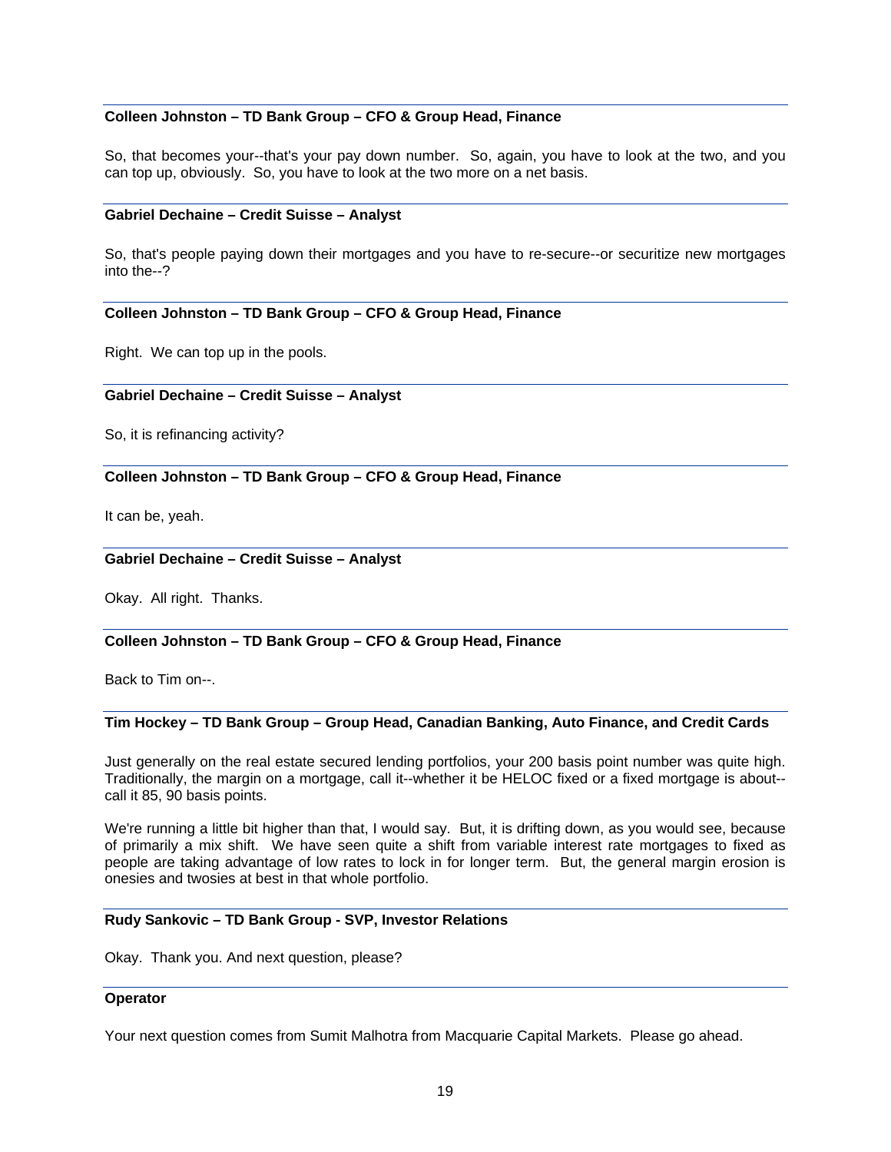## **Colleen Johnston – TD Bank Group – CFO & Group Head, Finance**

So, that becomes your--that's your pay down number. So, again, you have to look at the two, and you can top up, obviously. So, you have to look at the two more on a net basis.

#### **Gabriel Dechaine – Credit Suisse – Analyst**

So, that's people paying down their mortgages and you have to re-secure--or securitize new mortgages into the--?

### **Colleen Johnston – TD Bank Group – CFO & Group Head, Finance**

Right. We can top up in the pools.

#### **Gabriel Dechaine – Credit Suisse – Analyst**

So, it is refinancing activity?

### **Colleen Johnston – TD Bank Group – CFO & Group Head, Finance**

It can be, yeah.

#### **Gabriel Dechaine – Credit Suisse – Analyst**

Okay. All right. Thanks.

### **Colleen Johnston – TD Bank Group – CFO & Group Head, Finance**

Back to Tim on--.

#### **Tim Hockey – TD Bank Group – Group Head, Canadian Banking, Auto Finance, and Credit Cards**

Just generally on the real estate secured lending portfolios, your 200 basis point number was quite high. Traditionally, the margin on a mortgage, call it--whether it be HELOC fixed or a fixed mortgage is about- call it 85, 90 basis points.

We're running a little bit higher than that, I would say. But, it is drifting down, as you would see, because of primarily a mix shift. We have seen quite a shift from variable interest rate mortgages to fixed as people are taking advantage of low rates to lock in for longer term. But, the general margin erosion is onesies and twosies at best in that whole portfolio.

#### **Rudy Sankovic – TD Bank Group - SVP, Investor Relations**

Okay. Thank you. And next question, please?

#### **Operator**

Your next question comes from Sumit Malhotra from Macquarie Capital Markets. Please go ahead.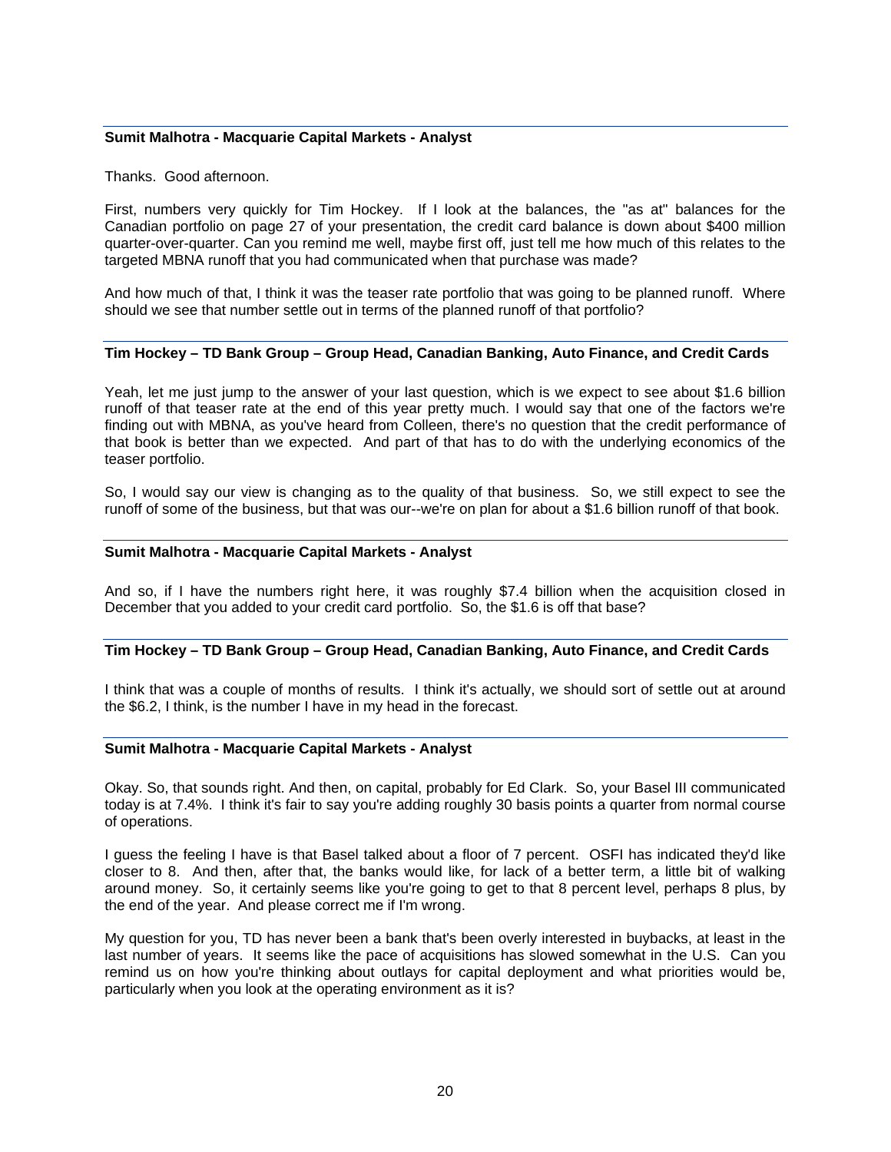### **Sumit Malhotra - Macquarie Capital Markets - Analyst**

Thanks. Good afternoon.

First, numbers very quickly for Tim Hockey. If I look at the balances, the "as at" balances for the Canadian portfolio on page 27 of your presentation, the credit card balance is down about \$400 million quarter-over-quarter. Can you remind me well, maybe first off, just tell me how much of this relates to the targeted MBNA runoff that you had communicated when that purchase was made?

And how much of that, I think it was the teaser rate portfolio that was going to be planned runoff. Where should we see that number settle out in terms of the planned runoff of that portfolio?

#### **Tim Hockey – TD Bank Group – Group Head, Canadian Banking, Auto Finance, and Credit Cards**

Yeah, let me just jump to the answer of your last question, which is we expect to see about \$1.6 billion runoff of that teaser rate at the end of this year pretty much. I would say that one of the factors we're finding out with MBNA, as you've heard from Colleen, there's no question that the credit performance of that book is better than we expected. And part of that has to do with the underlying economics of the teaser portfolio.

So, I would say our view is changing as to the quality of that business. So, we still expect to see the runoff of some of the business, but that was our--we're on plan for about a \$1.6 billion runoff of that book.

#### **Sumit Malhotra - Macquarie Capital Markets - Analyst**

And so, if I have the numbers right here, it was roughly \$7.4 billion when the acquisition closed in December that you added to your credit card portfolio. So, the \$1.6 is off that base?

# **Tim Hockey – TD Bank Group – Group Head, Canadian Banking, Auto Finance, and Credit Cards**

I think that was a couple of months of results. I think it's actually, we should sort of settle out at around the \$6.2, I think, is the number I have in my head in the forecast.

#### **Sumit Malhotra - Macquarie Capital Markets - Analyst**

Okay. So, that sounds right. And then, on capital, probably for Ed Clark. So, your Basel III communicated today is at 7.4%. I think it's fair to say you're adding roughly 30 basis points a quarter from normal course of operations.

I guess the feeling I have is that Basel talked about a floor of 7 percent. OSFI has indicated they'd like closer to 8. And then, after that, the banks would like, for lack of a better term, a little bit of walking around money. So, it certainly seems like you're going to get to that 8 percent level, perhaps 8 plus, by the end of the year. And please correct me if I'm wrong.

My question for you, TD has never been a bank that's been overly interested in buybacks, at least in the last number of years. It seems like the pace of acquisitions has slowed somewhat in the U.S. Can you remind us on how you're thinking about outlays for capital deployment and what priorities would be, particularly when you look at the operating environment as it is?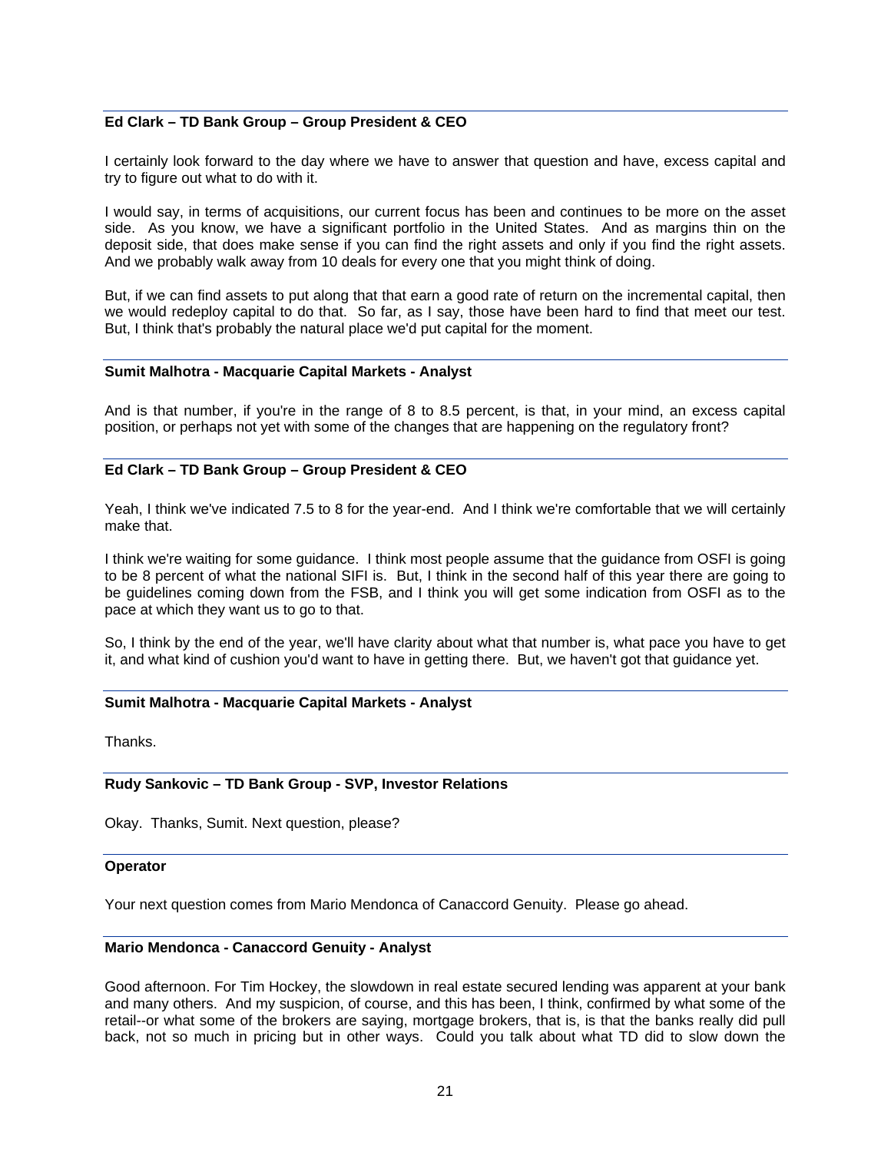### **Ed Clark – TD Bank Group – Group President & CEO**

I certainly look forward to the day where we have to answer that question and have, excess capital and try to figure out what to do with it.

I would say, in terms of acquisitions, our current focus has been and continues to be more on the asset side. As you know, we have a significant portfolio in the United States. And as margins thin on the deposit side, that does make sense if you can find the right assets and only if you find the right assets. And we probably walk away from 10 deals for every one that you might think of doing.

But, if we can find assets to put along that that earn a good rate of return on the incremental capital, then we would redeploy capital to do that. So far, as I say, those have been hard to find that meet our test. But, I think that's probably the natural place we'd put capital for the moment.

#### **Sumit Malhotra - Macquarie Capital Markets - Analyst**

And is that number, if you're in the range of 8 to 8.5 percent, is that, in your mind, an excess capital position, or perhaps not yet with some of the changes that are happening on the regulatory front?

### **Ed Clark – TD Bank Group – Group President & CEO**

Yeah, I think we've indicated 7.5 to 8 for the year-end. And I think we're comfortable that we will certainly make that.

I think we're waiting for some guidance. I think most people assume that the guidance from OSFI is going to be 8 percent of what the national SIFI is. But, I think in the second half of this year there are going to be guidelines coming down from the FSB, and I think you will get some indication from OSFI as to the pace at which they want us to go to that.

So, I think by the end of the year, we'll have clarity about what that number is, what pace you have to get it, and what kind of cushion you'd want to have in getting there. But, we haven't got that guidance yet.

#### **Sumit Malhotra - Macquarie Capital Markets - Analyst**

**Thanks** 

### **Rudy Sankovic – TD Bank Group - SVP, Investor Relations**

Okay. Thanks, Sumit. Next question, please?

#### **Operator**

Your next question comes from Mario Mendonca of Canaccord Genuity. Please go ahead.

#### **Mario Mendonca - Canaccord Genuity - Analyst**

Good afternoon. For Tim Hockey, the slowdown in real estate secured lending was apparent at your bank and many others. And my suspicion, of course, and this has been, I think, confirmed by what some of the retail--or what some of the brokers are saying, mortgage brokers, that is, is that the banks really did pull back, not so much in pricing but in other ways. Could you talk about what TD did to slow down the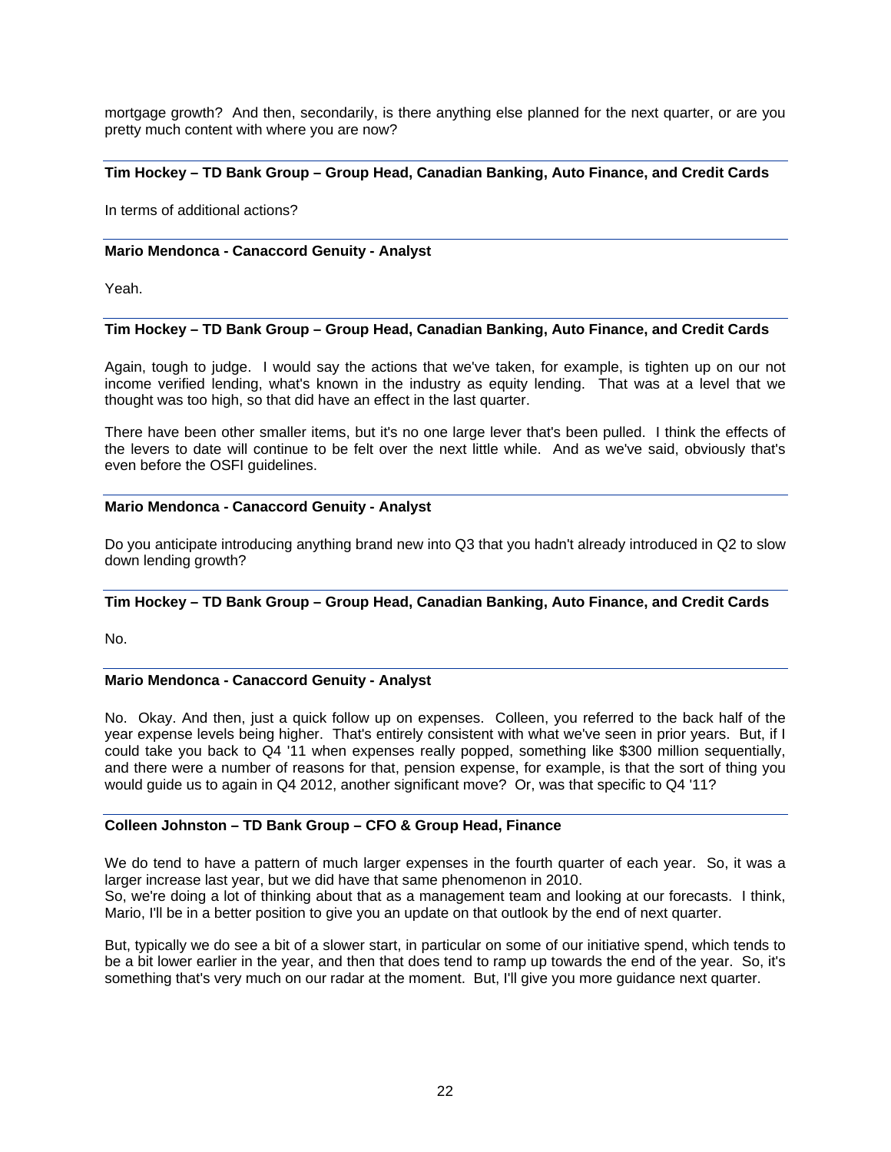mortgage growth? And then, secondarily, is there anything else planned for the next quarter, or are you pretty much content with where you are now?

# **Tim Hockey – TD Bank Group – Group Head, Canadian Banking, Auto Finance, and Credit Cards**

In terms of additional actions?

### **Mario Mendonca - Canaccord Genuity - Analyst**

Yeah.

# **Tim Hockey – TD Bank Group – Group Head, Canadian Banking, Auto Finance, and Credit Cards**

Again, tough to judge. I would say the actions that we've taken, for example, is tighten up on our not income verified lending, what's known in the industry as equity lending. That was at a level that we thought was too high, so that did have an effect in the last quarter.

There have been other smaller items, but it's no one large lever that's been pulled. I think the effects of the levers to date will continue to be felt over the next little while. And as we've said, obviously that's even before the OSFI guidelines.

#### **Mario Mendonca - Canaccord Genuity - Analyst**

Do you anticipate introducing anything brand new into Q3 that you hadn't already introduced in Q2 to slow down lending growth?

# **Tim Hockey – TD Bank Group – Group Head, Canadian Banking, Auto Finance, and Credit Cards**

No.

### **Mario Mendonca - Canaccord Genuity - Analyst**

No. Okay. And then, just a quick follow up on expenses. Colleen, you referred to the back half of the year expense levels being higher. That's entirely consistent with what we've seen in prior years. But, if I could take you back to Q4 '11 when expenses really popped, something like \$300 million sequentially, and there were a number of reasons for that, pension expense, for example, is that the sort of thing you would guide us to again in Q4 2012, another significant move? Or, was that specific to Q4 '11?

### **Colleen Johnston – TD Bank Group – CFO & Group Head, Finance**

We do tend to have a pattern of much larger expenses in the fourth quarter of each year. So, it was a larger increase last year, but we did have that same phenomenon in 2010.

So, we're doing a lot of thinking about that as a management team and looking at our forecasts. I think, Mario, I'll be in a better position to give you an update on that outlook by the end of next quarter.

But, typically we do see a bit of a slower start, in particular on some of our initiative spend, which tends to be a bit lower earlier in the year, and then that does tend to ramp up towards the end of the year. So, it's something that's very much on our radar at the moment. But, I'll give you more guidance next quarter.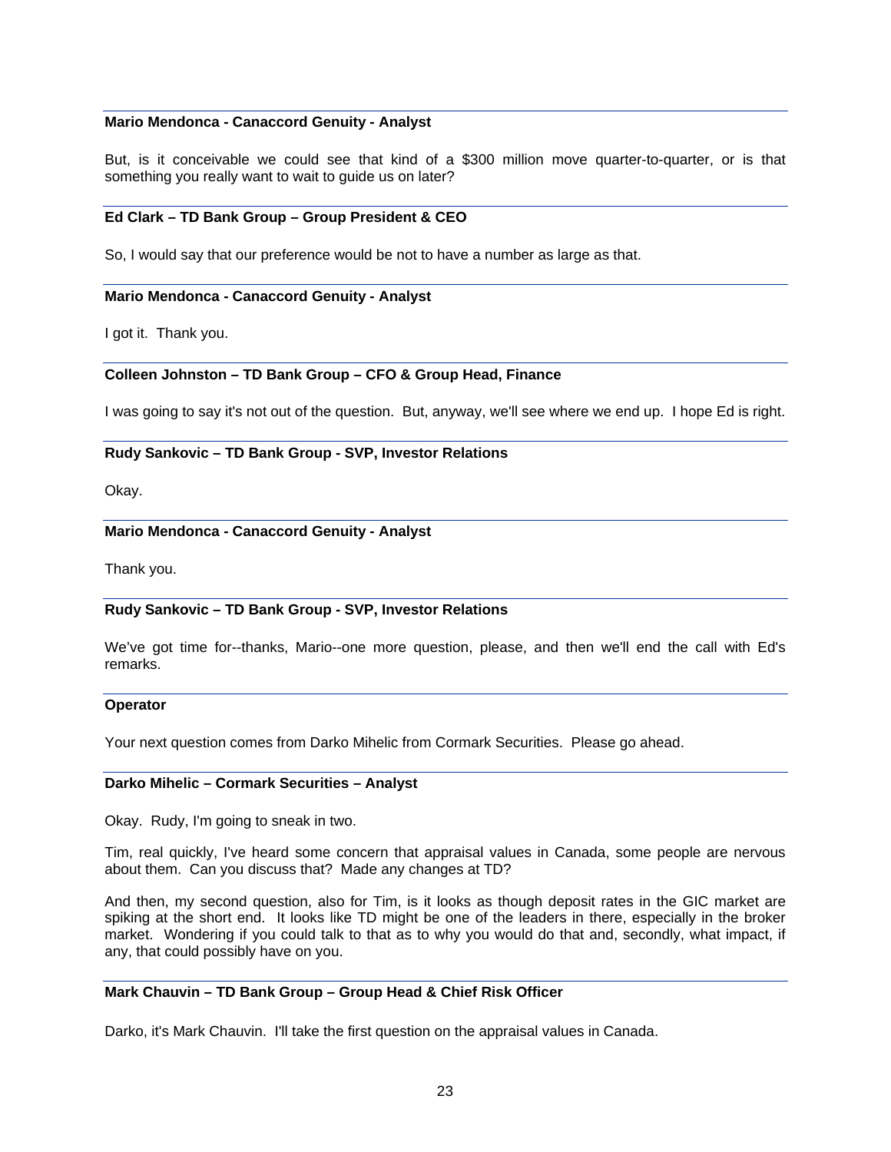#### **Mario Mendonca - Canaccord Genuity - Analyst**

But, is it conceivable we could see that kind of a \$300 million move quarter-to-quarter, or is that something you really want to wait to guide us on later?

#### **Ed Clark – TD Bank Group – Group President & CEO**

So, I would say that our preference would be not to have a number as large as that.

#### **Mario Mendonca - Canaccord Genuity - Analyst**

I got it. Thank you.

#### **Colleen Johnston – TD Bank Group – CFO & Group Head, Finance**

I was going to say it's not out of the question. But, anyway, we'll see where we end up. I hope Ed is right.

#### **Rudy Sankovic – TD Bank Group - SVP, Investor Relations**

Okay.

# **Mario Mendonca - Canaccord Genuity - Analyst**

Thank you.

### **Rudy Sankovic – TD Bank Group - SVP, Investor Relations**

We've got time for--thanks, Mario--one more question, please, and then we'll end the call with Ed's remarks.

#### **Operator**

Your next question comes from Darko Mihelic from Cormark Securities. Please go ahead.

#### **Darko Mihelic – Cormark Securities – Analyst**

Okay. Rudy, I'm going to sneak in two.

Tim, real quickly, I've heard some concern that appraisal values in Canada, some people are nervous about them. Can you discuss that? Made any changes at TD?

And then, my second question, also for Tim, is it looks as though deposit rates in the GIC market are spiking at the short end. It looks like TD might be one of the leaders in there, especially in the broker market. Wondering if you could talk to that as to why you would do that and, secondly, what impact, if any, that could possibly have on you.

### **Mark Chauvin – TD Bank Group – Group Head & Chief Risk Officer**

Darko, it's Mark Chauvin. I'll take the first question on the appraisal values in Canada.